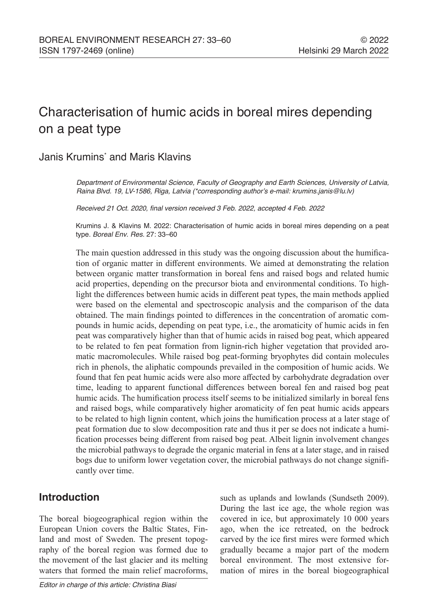# Characterisation of humic acids in boreal mires depending on a peat type

## Janis Krumins\* and Maris Klavins

*Department of Environmental Science, Faculty of Geography and Earth Sciences, University of Latvia,*  Raina Blvd. 19, LV-1586, Riga, Latvia (\*corresponding author's e-mail: krumins.janis@lu.lv)

Received 21 Oct. 2020, final version received 3 Feb. 2022, accepted 4 Feb. 2022

Krumins J. & Klavins M. 2022: Characterisation of humic acids in boreal mires depending on a peat type. *Boreal Env. Res.* 27: 33–60

The main question addressed in this study was the ongoing discussion about the humification of organic matter in different environments. We aimed at demonstrating the relation between organic matter transformation in boreal fens and raised bogs and related humic acid properties, depending on the precursor biota and environmental conditions. To highlight the differences between humic acids in different peat types, the main methods applied were based on the elemental and spectroscopic analysis and the comparison of the data obtained. The main findings pointed to differences in the concentration of aromatic compounds in humic acids, depending on peat type, i.e., the aromaticity of humic acids in fen peat was comparatively higher than that of humic acids in raised bog peat, which appeared to be related to fen peat formation from lignin-rich higher vegetation that provided aromatic macromolecules. While raised bog peat-forming bryophytes did contain molecules rich in phenols, the aliphatic compounds prevailed in the composition of humic acids. We found that fen peat humic acids were also more affected by carbohydrate degradation over time, leading to apparent functional differences between boreal fen and raised bog peat humic acids. The humification process itself seems to be initialized similarly in boreal fens and raised bogs, while comparatively higher aromaticity of fen peat humic acids appears to be related to high lignin content, which joins the humification process at a later stage of peat formation due to slow decomposition rate and thus it per se does not indicate a humification processes being different from raised bog peat. Albeit lignin involvement changes the microbial pathways to degrade the organic material in fens at a later stage, and in raised bogs due to uniform lower vegetation cover, the microbial pathways do not change significantly over time.

## **Introduction**

The boreal biogeographical region within the European Union covers the Baltic States, Finland and most of Sweden. The present topography of the boreal region was formed due to the movement of the last glacier and its melting waters that formed the main relief macroforms, such as uplands and lowlands (Sundseth 2009). During the last ice age, the whole region was covered in ice, but approximately 10 000 years ago, when the ice retreated, on the bedrock carved by the ice first mires were formed which gradually became a major part of the modern boreal environment. The most extensive formation of mires in the boreal biogeographical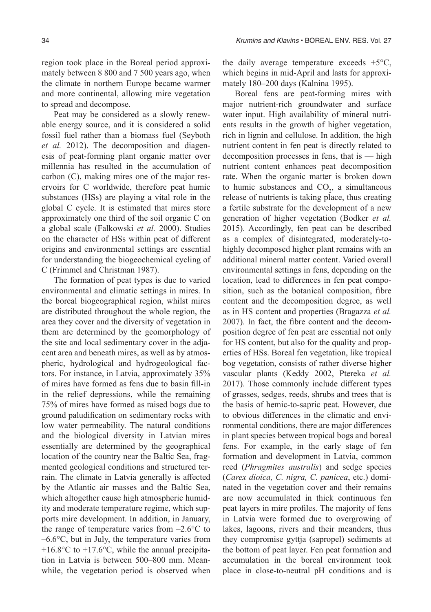region took place in the Boreal period approximately between 8 800 and 7 500 years ago, when the climate in northern Europe became warmer and more continental, allowing mire vegetation to spread and decompose.

Peat may be considered as a slowly renewable energy source, and it is considered a solid fossil fuel rather than a biomass fuel (Seyboth *et al.* 2012). The decomposition and diagenesis of peat-forming plant organic matter over millennia has resulted in the accumulation of carbon (C), making mires one of the major reservoirs for C worldwide, therefore peat humic substances (HSs) are playing a vital role in the global C cycle. It is estimated that mires store approximately one third of the soil organic C on a global scale (Falkowski *et al.* 2000). Studies on the character of HSs within peat of different origins and environmental settings are essential for understanding the biogeochemical cycling of C (Frimmel and Christman 1987).

The formation of peat types is due to varied environmental and climatic settings in mires. In the boreal biogeographical region, whilst mires are distributed throughout the whole region, the area they cover and the diversity of vegetation in them are determined by the geomorphology of the site and local sedimentary cover in the adjacent area and beneath mires, as well as by atmospheric, hydrological and hydrogeological factors. For instance, in Latvia, approximately 35% of mires have formed as fens due to basin fill-in in the relief depressions, while the remaining 75% of mires have formed as raised bogs due to ground paludification on sedimentary rocks with low water permeability. The natural conditions and the biological diversity in Latvian mires essentially are determined by the geographical location of the country near the Baltic Sea, fragmented geological conditions and structured terrain. The climate in Latvia generally is affected by the Atlantic air masses and the Baltic Sea, which altogether cause high atmospheric humidity and moderate temperature regime, which supports mire development. In addition, in January, the range of temperature varies from  $-2.6$ °C to  $-6.6$ °C, but in July, the temperature varies from  $+16.8$ °C to  $+17.6$ °C, while the annual precipitation in Latvia is between 500–800 mm. Meanwhile, the vegetation period is observed when

the daily average temperature exceeds  $+5^{\circ}C$ , which begins in mid-April and lasts for approximately 180–200 days (Kalnina 1995).

Boreal fens are peat-forming mires with major nutrient-rich groundwater and surface water input. High availability of mineral nutrients results in the growth of higher vegetation, rich in lignin and cellulose. In addition, the high nutrient content in fen peat is directly related to decomposition processes in fens, that is — high nutrient content enhances peat decomposition rate. When the organic matter is broken down to humic substances and  $CO<sub>2</sub>$ , a simultaneous release of nutrients is taking place, thus creating a fertile substrate for the development of a new generation of higher vegetation (Bodker *et al.* 2015). Accordingly, fen peat can be described as a complex of disintegrated, moderately-tohighly decomposed higher plant remains with an additional mineral matter content. Varied overall environmental settings in fens, depending on the location, lead to differences in fen peat composition, such as the botanical composition, fibre content and the decomposition degree, as well as in HS content and properties (Bragazza *et al.* 2007). In fact, the fibre content and the decomposition degree of fen peat are essential not only for HS content, but also for the quality and properties of HSs. Boreal fen vegetation, like tropical bog vegetation, consists of rather diverse higher vascular plants (Keddy 2002, Ptereka *et al.* 2017). Those commonly include different types of grasses, sedges, reeds, shrubs and trees that is the basis of hemic-to-sapric peat. However, due to obvious differences in the climatic and environmental conditions, there are major differences in plant species between tropical bogs and boreal fens. For example, in the early stage of fen formation and development in Latvia, common reed (*Phragmites australis*) and sedge species (*Carex dioica, C. nigra, C. panicea*, etc.) dominated in the vegetation cover and their remains are now accumulated in thick continuous fen peat layers in mire profiles. The majority of fens in Latvia were formed due to overgrowing of lakes, lagoons, rivers and their meanders, thus they compromise gyttja (sapropel) sediments at the bottom of peat layer. Fen peat formation and accumulation in the boreal environment took place in close-to-neutral pH conditions and is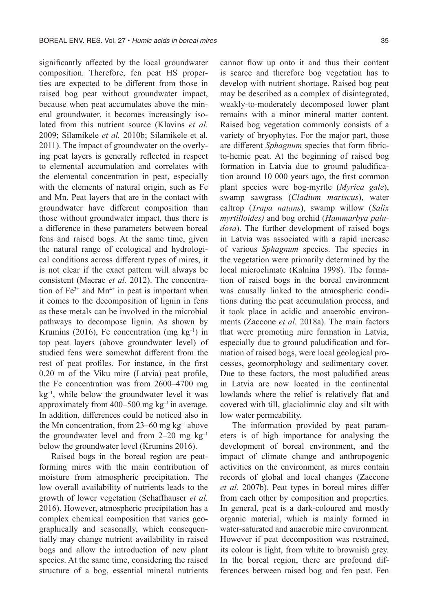significantly affected by the local groundwater composition. Therefore, fen peat HS properties are expected to be different from those in raised bog peat without groundwater impact, because when peat accumulates above the mineral groundwater, it becomes increasingly isolated from this nutrient source (Klavins *et al.* 2009; Silamikele *et al.* 2010b; Silamikele et al*.* 2011). The impact of groundwater on the overlying peat layers is generally reflected in respect to elemental accumulation and correlates with the elemental concentration in peat, especially with the elements of natural origin, such as Fe and Mn. Peat layers that are in the contact with groundwater have different composition than those without groundwater impact, thus there is a difference in these parameters between boreal fens and raised bogs. At the same time, given the natural range of ecological and hydrological conditions across different types of mires, it is not clear if the exact pattern will always be consistent (Macrae *et al.* 2012). The concentration of  $Fe^{3+}$  and  $Mn^{4+}$  in peat is important when it comes to the decomposition of lignin in fens as these metals can be involved in the microbial pathways to decompose lignin. As shown by Krumins (2016), Fe concentration (mg  $kg^{-1}$ ) in top peat layers (above groundwater level) of studied fens were somewhat different from the rest of peat profiles. For instance, in the first 0.20 m of the Viku mire (Latvia) peat profile, the Fe concentration was from 2600–4700 mg kg–1, while below the groundwater level it was approximately from  $400-500$  mg kg<sup>-1</sup> in average. In addition, differences could be noticed also in the Mn concentration, from 23–60 mg kg–1 above the groundwater level and from  $2-20$  mg  $kg^{-1}$ below the groundwater level (Krumins 2016).

Raised bogs in the boreal region are peatforming mires with the main contribution of moisture from atmospheric precipitation. The low overall availability of nutrients leads to the growth of lower vegetation (Schaffhauser *et al.* 2016). However, atmospheric precipitation has a complex chemical composition that varies geographically and seasonally, which consequentially may change nutrient availability in raised bogs and allow the introduction of new plant species. At the same time, considering the raised structure of a bog, essential mineral nutrients cannot flow up onto it and thus their content is scarce and therefore bog vegetation has to develop with nutrient shortage. Raised bog peat may be described as a complex of disintegrated, weakly-to-moderately decomposed lower plant remains with a minor mineral matter content. Raised bog vegetation commonly consists of a variety of bryophytes. For the major part, those are different *Sphagnum* species that form fibricto-hemic peat. At the beginning of raised bog formation in Latvia due to ground paludification around 10 000 years ago, the first common plant species were bog-myrtle (*Myrica gale*), swamp sawgrass (*Cladium mariscus*), water caltrop (*Trapa natans*), swamp willow (*Salix myrtilloides)* and bog orchid (*Hammarbya paludosa*). The further development of raised bogs in Latvia was associated with a rapid increase of various *Sphagnum* species. The species in the vegetation were primarily determined by the local microclimate (Kalnina 1998). The formation of raised bogs in the boreal environment was causally linked to the atmospheric conditions during the peat accumulation process, and it took place in acidic and anaerobic environments (Zaccone *et al.* 2018a). The main factors that were promoting mire formation in Latvia, especially due to ground paludification and formation of raised bogs, were local geological processes, geomorphology and sedimentary cover. Due to these factors, the most paludified areas in Latvia are now located in the continental lowlands where the relief is relatively flat and covered with till, glaciolimnic clay and silt with low water permeability.

The information provided by peat parameters is of high importance for analysing the development of boreal environment, and the impact of climate change and anthropogenic activities on the environment, as mires contain records of global and local changes (Zaccone *et al.* 2007b). Peat types in boreal mires differ from each other by composition and properties. In general, peat is a dark-coloured and mostly organic material, which is mainly formed in water-saturated and anaerobic mire environment. However if peat decomposition was restrained, its colour is light, from white to brownish grey. In the boreal region, there are profound differences between raised bog and fen peat. Fen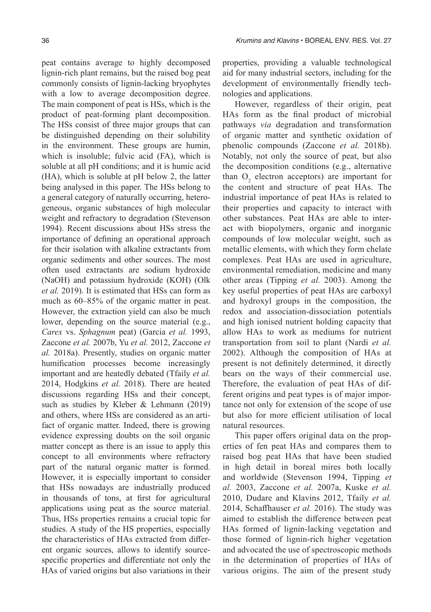peat contains average to highly decomposed lignin-rich plant remains, but the raised bog peat commonly consists of lignin-lacking bryophytes with a low to average decomposition degree. The main component of peat is HSs, which is the product of peat-forming plant decomposition. The HSs consist of three major groups that can be distinguished depending on their solubility in the environment. These groups are humin, which is insoluble; fulvic acid (FA), which is soluble at all pH conditions; and it is humic acid (HA), which is soluble at pH below 2, the latter being analysed in this paper. The HSs belong to a general category of naturally occurring, heterogeneous, organic substances of high molecular weight and refractory to degradation (Stevenson 1994). Recent discussions about HSs stress the importance of defining an operational approach for their isolation with alkaline extractants from organic sediments and other sources. The most often used extractants are sodium hydroxide (NaOH) and potassium hydroxide (KOH) (Olk *et al.* 2019). It is estimated that HSs can form as much as 60–85% of the organic matter in peat. However, the extraction yield can also be much lower, depending on the source material (e.g., *Carex* vs. *Sphagnum* peat) (Garcia *et al.* 1993, Zaccone *et al.* 2007b, Yu *et al.* 2012, Zaccone *et al.* 2018a). Presently, studies on organic matter humification processes become increasingly important and are heatedly debated (Tfaily *et al.*  2014, Hodgkins *et al.* 2018). There are heated discussions regarding HSs and their concept, such as studies by Kleber & Lehmann (2019) and others, where HSs are considered as an artifact of organic matter. Indeed, there is growing evidence expressing doubts on the soil organic matter concept as there is an issue to apply this concept to all environments where refractory part of the natural organic matter is formed. However, it is especially important to consider that HSs nowadays are industrially produced in thousands of tons, at first for agricultural applications using peat as the source material. Thus, HSs properties remains a crucial topic for studies. A study of the HS properties, especially the characteristics of HAs extracted from different organic sources, allows to identify sourcespecific properties and differentiate not only the HAs of varied origins but also variations in their properties, providing a valuable technological aid for many industrial sectors, including for the development of environmentally friendly technologies and applications.

However, regardless of their origin, peat HAs form as the final product of microbial pathways *via* degradation and transformation of organic matter and synthetic oxidation of phenolic compounds (Zaccone *et al.* 2018b). Notably, not only the source of peat, but also the decomposition conditions (e.g., alternative than  $O_2$  electron acceptors) are important for the content and structure of peat HAs. The industrial importance of peat HAs is related to their properties and capacity to interact with other substances. Peat HAs are able to interact with biopolymers, organic and inorganic compounds of low molecular weight, such as metallic elements, with which they form chelate complexes. Peat HAs are used in agriculture, environmental remediation, medicine and many other areas (Tipping *et al.* 2003). Among the key useful properties of peat HAs are carboxyl and hydroxyl groups in the composition, the redox and association-dissociation potentials and high ionised nutrient holding capacity that allow HAs to work as mediums for nutrient transportation from soil to plant (Nardi *et al.* 2002). Although the composition of HAs at present is not definitely determined, it directly bears on the ways of their commercial use. Therefore, the evaluation of peat HAs of different origins and peat types is of major importance not only for extension of the scope of use but also for more efficient utilisation of local natural resources.

This paper offers original data on the properties of fen peat HAs and compares them to raised bog peat HAs that have been studied in high detail in boreal mires both locally and worldwide (Stevenson 1994, Tipping *et al.* 2003, Zaccone *et al.* 2007a, Kuske *et al.* 2010, Dudare and Klavins 2012, Tfaily *et al.* 2014, Schaffhauser *et al.* 2016). The study was aimed to establish the difference between peat HAs formed of lignin-lacking vegetation and those formed of lignin-rich higher vegetation and advocated the use of spectroscopic methods in the determination of properties of HAs of various origins. The aim of the present study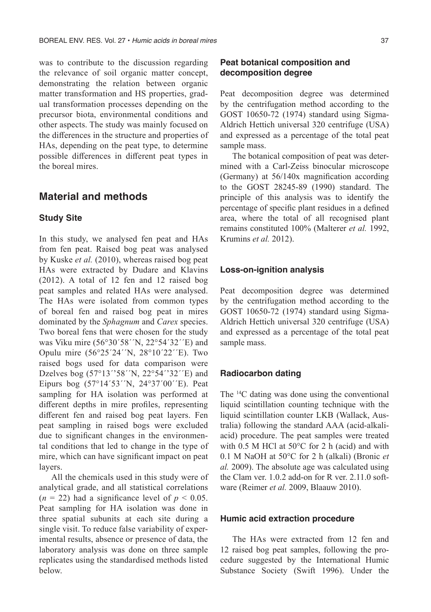was to contribute to the discussion regarding the relevance of soil organic matter concept, demonstrating the relation between organic matter transformation and HS properties, gradual transformation processes depending on the precursor biota, environmental conditions and other aspects. The study was mainly focused on the differences in the structure and properties of HAs, depending on the peat type, to determine possible differences in different peat types in the boreal mires.

#### **Material and methods**

#### **Study Site**

In this study, we analysed fen peat and HAs from fen peat. Raised bog peat was analysed by Kuske *et al.* (2010), whereas raised bog peat HAs were extracted by Dudare and Klavins (2012). A total of 12 fen and 12 raised bog peat samples and related HAs were analysed. The HAs were isolated from common types of boreal fen and raised bog peat in mires dominated by the *Sphagnum* and *Carex* species. Two boreal fens that were chosen for the study was Viku mire (56°30´58´´N, 22°54´32´´E) and Opulu mire (56°25´24´´N, 28°10´22´´E). Two raised bogs used for data comparison were Dzelves bog (57°13''58''N, 22°54''32''E) and Eipurs bog (57°14´53´´N, 24°37´00´´E). Peat sampling for HA isolation was performed at different depths in mire profiles, representing different fen and raised bog peat layers. Fen peat sampling in raised bogs were excluded due to significant changes in the environmental conditions that led to change in the type of mire, which can have significant impact on peat layers.

All the chemicals used in this study were of analytical grade, and all statistical correlations  $(n = 22)$  had a significance level of  $p < 0.05$ . Peat sampling for HA isolation was done in three spatial subunits at each site during a single visit. To reduce false variability of experimental results, absence or presence of data, the laboratory analysis was done on three sample replicates using the standardised methods listed below.

#### **Peat botanical composition and decomposition degree**

Peat decomposition degree was determined by the centrifugation method according to the GOST 10650-72 (1974) standard using Sigma-Aldrich Hettich universal 320 centrifuge (USA) and expressed as a percentage of the total peat sample mass.

The botanical composition of peat was determined with a Carl-Zeiss binocular microscope (Germany) at 56/140x magnification according to the GOST 28245-89 (1990) standard. The principle of this analysis was to identify the percentage of specific plant residues in a defined area, where the total of all recognised plant remains constituted 100% (Malterer *et al.* 1992, Krumins *et al.* 2012).

#### **Loss-on-ignition analysis**

Peat decomposition degree was determined by the centrifugation method according to the GOST 10650-72 (1974) standard using Sigma-Aldrich Hettich universal 320 centrifuge (USA) and expressed as a percentage of the total peat sample mass.

#### **Radiocarbon dating**

The 14C dating was done using the conventional liquid scintillation counting technique with the liquid scintillation counter LKB (Wallack, Australia) following the standard AAA (acid-alkaliacid) procedure. The peat samples were treated with 0.5 M HCl at 50°C for 2 h (acid) and with 0.1 M NaOH at 50°C for 2 h (alkali) (Bronic *et al.* 2009). The absolute age was calculated using the Clam ver. 1.0.2 add-on for R ver. 2.11.0 software (Reimer *et al.* 2009, Blaauw 2010).

#### **Humic acid extraction procedure**

The HAs were extracted from 12 fen and 12 raised bog peat samples, following the procedure suggested by the International Humic Substance Society (Swift 1996). Under the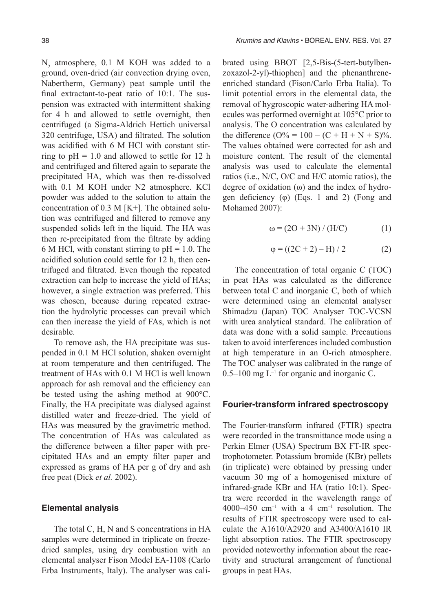Mohamed 2007):

 $N_2$  atmosphere, 0.1 M KOH was added to a ground, oven-dried (air convection drying oven, Nabertherm, Germany) peat sample until the final extractant-to-peat ratio of 10:1. The suspension was extracted with intermittent shaking for 4 h and allowed to settle overnight, then centrifuged (a Sigma-Aldrich Hettich universal 320 centrifuge, USA) and filtrated. The solution was acidified with 6 M HCl with constant stirring to  $pH = 1.0$  and allowed to settle for 12 h and centrifuged and filtered again to separate the precipitated HA, which was then re-dissolved with 0.1 M KOH under N2 atmosphere. KCl powder was added to the solution to attain the concentration of 0.3 M [K+]. The obtained solution was centrifuged and filtered to remove any suspended solids left in the liquid. The HA was then re-precipitated from the filtrate by adding 6 M HCl, with constant stirring to  $pH = 1.0$ . The acidified solution could settle for 12 h, then centrifuged and filtrated. Even though the repeated extraction can help to increase the yield of HAs; however, a single extraction was preferred. This was chosen, because during repeated extraction the hydrolytic processes can prevail which can then increase the yield of FAs, which is not desirable.

To remove ash, the HA precipitate was suspended in 0.1 M HCl solution, shaken overnight at room temperature and then centrifuged. The treatment of HAs with 0.1 M HCl is well known approach for ash removal and the efficiency can be tested using the ashing method at 900°C. Finally, the HA precipitate was dialysed against distilled water and freeze-dried. The yield of HAs was measured by the gravimetric method. The concentration of HAs was calculated as the difference between a filter paper with precipitated HAs and an empty filter paper and expressed as grams of HA per g of dry and ash free peat (Dick *et al.* 2002).

#### **Elemental analysis**

The total C, H, N and S concentrations in HA samples were determined in triplicate on freezedried samples, using dry combustion with an elemental analyser Fison Model EA-1108 (Carlo Erba Instruments, Italy). The analyser was calibrated using BBOT [2,5-Bis-(5-tert-butylbenzoxazol-2-yl)-thiophen] and the phenanthreneenriched standard (Fison/Carlo Erba Italia). To limit potential errors in the elemental data, the removal of hygroscopic water-adhering HA molecules was performed overnight at 105°C prior to analysis. The O concentration was calculated by the difference  $(O\% = 100 - (C + H + N + S)\%$ . The values obtained were corrected for ash and moisture content. The result of the elemental analysis was used to calculate the elemental ratios (i.e., N/C, O/C and H/C atomic ratios), the degree of oxidation (ω) and the index of hydro-

gen deficiency (φ) (Eqs. 1 and 2) (Fong and

$$
\omega = (2O + 3N) / (H/C)
$$
 (1)

$$
\varphi = ((2C + 2) - H) / 2 \tag{2}
$$

The concentration of total organic C (TOC) in peat HAs was calculated as the difference between total C and inorganic C, both of which were determined using an elemental analyser Shimadzu (Japan) TOC Analyser TOC-VCSN with urea analytical standard. The calibration of data was done with a solid sample. Precautions taken to avoid interferences included combustion at high temperature in an O-rich atmosphere. The TOC analyser was calibrated in the range of  $0.5-100$  mg  $L^{-1}$  for organic and inorganic C.

#### **Fourier-transform infrared spectroscopy**

The Fourier-transform infrared (FTIR) spectra were recorded in the transmittance mode using a Perkin Elmer (USA) Spectrum BX FT-IR spectrophotometer. Potassium bromide (KBr) pellets (in triplicate) were obtained by pressing under vacuum 30 mg of a homogenised mixture of infrared-grade KBr and HA (ratio 10:1). Spectra were recorded in the wavelength range of 4000–450 cm<sup>-1</sup> with a 4 cm<sup>-1</sup> resolution. The results of FTIR spectroscopy were used to calculate the A1610/A2920 and A3400/A1610 IR light absorption ratios. The FTIR spectroscopy provided noteworthy information about the reactivity and structural arrangement of functional groups in peat HAs.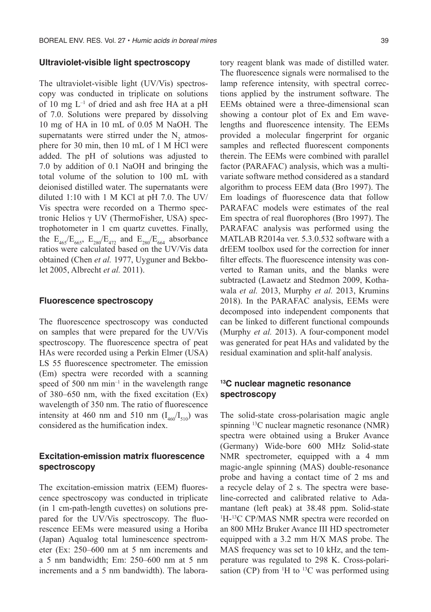#### **Ultraviolet-visible light spectroscopy**

The ultraviolet-visible light (UV/Vis) spectroscopy was conducted in triplicate on solutions of 10 mg  $L^{-1}$  of dried and ash free HA at a pH of 7.0. Solutions were prepared by dissolving 10 mg of HA in 10 mL of 0.05 M NaOH. The supernatants were stirred under the  $N_2$  atmosphere for 30 min, then 10 mL of 1 M HCl were added. The pH of solutions was adjusted to 7.0 by addition of 0.1 NaOH and bringing the total volume of the solution to 100 mL with deionised distilled water. The supernatants were diluted 1:10 with 1 M KCl at pH 7.0. The UV/ Vis spectra were recorded on a Thermo spectronic Helios γ UV (ThermoFisher, USA) spectrophotometer in 1 cm quartz cuvettes. Finally, the  $E_{465}/E_{665}$ ,  $E_{280}/E_{472}$  and  $E_{280}/E_{664}$  absorbance ratios were calculated based on the UV/Vis data obtained (Chen *et al.* 1977, Uyguner and Bekbolet 2005, Albrecht *et al.* 2011).

#### **Fluorescence spectroscopy**

The fluorescence spectroscopy was conducted on samples that were prepared for the UV/Vis spectroscopy. The fluorescence spectra of peat HAs were recorded using a Perkin Elmer (USA) LS 55 fluorescence spectrometer. The emission (Em) spectra were recorded with a scanning speed of 500 nm min<sup>-1</sup> in the wavelength range of 380–650 nm, with the fixed excitation (Ex) wavelength of 350 nm. The ratio of fluorescence intensity at 460 nm and 510 nm  $(I_{460}/I_{510})$  was considered as the humification index.

#### **Excitation-emission matrix fluorescence spectroscopy**

The excitation-emission matrix (EEM) fluorescence spectroscopy was conducted in triplicate (in 1 cm-path-length cuvettes) on solutions prepared for the UV/Vis spectroscopy. The fluorescence EEMs were measured using a Horiba (Japan) Aqualog total luminescence spectrometer (Ex: 250–600 nm at 5 nm increments and a 5 nm bandwidth; Em: 250–600 nm at 5 nm increments and a 5 nm bandwidth). The laboratory reagent blank was made of distilled water. The fluorescence signals were normalised to the lamp reference intensity, with spectral corrections applied by the instrument software. The EEMs obtained were a three-dimensional scan showing a contour plot of Ex and Em wavelengths and fluorescence intensity. The EEMs provided a molecular fingerprint for organic samples and reflected fluorescent components therein. The EEMs were combined with parallel factor (PARAFAC) analysis, which was a multivariate software method considered as a standard algorithm to process EEM data (Bro 1997). The Em loadings of fluorescence data that follow PARAFAC models were estimates of the real Em spectra of real fluorophores (Bro 1997). The PARAFAC analysis was performed using the MATLAB R2014a ver. 5.3.0.532 software with a drEEM toolbox used for the correction for inner filter effects. The fluorescence intensity was converted to Raman units, and the blanks were subtracted (Lawaetz and Stedmon 2009, Kothawala *et al.* 2013, Murphy *et al.* 2013, Krumins 2018). In the PARAFAC analysis, EEMs were decomposed into independent components that can be linked to different functional compounds (Murphy *et al.* 2013). A four-component model was generated for peat HAs and validated by the residual examination and split-half analysis.

#### **13C nuclear magnetic resonance spectroscopy**

The solid-state cross-polarisation magic angle spinning 13C nuclear magnetic resonance (NMR) spectra were obtained using a Bruker Avance (Germany) Wide-bore 600 MHz Solid-state NMR spectrometer, equipped with a 4 mm magic-angle spinning (MAS) double-resonance probe and having a contact time of 2 ms and a recycle delay of 2 s. The spectra were baseline-corrected and calibrated relative to Adamantane (left peak) at 38.48 ppm. Solid-state <sup>1</sup>H-<sup>13</sup>C CP/MAS NMR spectra were recorded on an 800 MHz Bruker Avance III HD spectrometer equipped with a 3.2 mm H/X MAS probe. The MAS frequency was set to 10 kHz, and the temperature was regulated to 298 K. Cross-polarisation (CP) from  $H$  to  $H^3C$  was performed using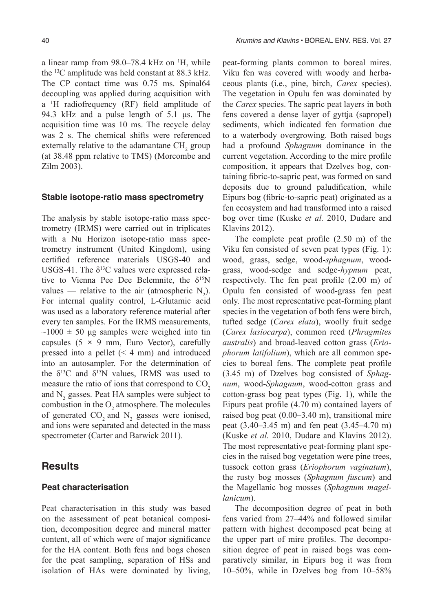a linear ramp from 98.0–78.4 kHz on 1 H, while the 13C amplitude was held constant at 88.3 kHz. The CP contact time was 0.75 ms. Spinal64 decoupling was applied during acquisition with a <sup>1</sup> H radiofrequency (RF) field amplitude of 94.3 kHz and a pulse length of 5.1 μs. The acquisition time was 10 ms. The recycle delay was 2 s. The chemical shifts were referenced externally relative to the adamantane  $\text{CH}_2$  group (at 38.48 ppm relative to TMS) (Morcombe and Zilm 2003).

#### **Stable isotope-ratio mass spectrometry**

The analysis by stable isotope-ratio mass spectrometry (IRMS) were carried out in triplicates with a Nu Horizon isotope-ratio mass spectrometry instrument (United Kingdom), using certified reference materials USGS-40 and USGS-41. The  $\delta^{13}$ C values were expressed relative to Vienna Pee Dee Belemnite, the  $\delta^{15}N$ values — relative to the air (atmospheric  $N_2$ ). For internal quality control, L-Glutamic acid was used as a laboratory reference material after every ten samples. For the IRMS measurements,  $\sim$ 1000  $\pm$  50 µg samples were weighed into tin capsules (5 *×* 9 mm, Euro Vector), carefully pressed into a pellet (< 4 mm) and introduced into an autosampler. For the determination of the  $\delta^{13}C$  and  $\delta^{15}N$  values, IRMS was used to measure the ratio of ions that correspond to  $CO<sub>2</sub>$ and  $N_2$  gasses. Peat HA samples were subject to combustion in the  $O_2$  atmosphere. The molecules of generated  $CO_2$  and  $N_2$  gasses were ionised, and ions were separated and detected in the mass spectrometer (Carter and Barwick 2011).

## **Results**

### **Peat characterisation**

Peat characterisation in this study was based on the assessment of peat botanical composition, decomposition degree and mineral matter content, all of which were of major significance for the HA content. Both fens and bogs chosen for the peat sampling, separation of HSs and isolation of HAs were dominated by living,

peat-forming plants common to boreal mires. Viku fen was covered with woody and herbaceous plants (i.e., pine, birch, *Carex* species). The vegetation in Opulu fen was dominated by the *Carex* species. The sapric peat layers in both fens covered a dense layer of gyttja (sapropel) sediments, which indicated fen formation due to a waterbody overgrowing. Both raised bogs had a profound *Sphagnum* dominance in the current vegetation. According to the mire profile composition, it appears that Dzelves bog, containing fibric-to-sapric peat, was formed on sand deposits due to ground paludification, while Eipurs bog (fibric-to-sapric peat) originated as a fen ecosystem and had transformed into a raised bog over time (Kuske *et al.* 2010, Dudare and Klavins 2012).

The complete peat profile (2.50 m) of the Viku fen consisted of seven peat types (Fig. 1): wood, grass, sedge, wood-*sphagnum*, woodgrass, wood-sedge and sedge-*hypnum* peat, respectively. The fen peat profile (2.00 m) of Opulu fen consisted of wood-grass fen peat only. The most representative peat-forming plant species in the vegetation of both fens were birch, tufted sedge (*Carex elata*), woolly fruit sedge (*Carex lasiocarpa*), common reed (*Phragmites australis*) and broad-leaved cotton grass (*Eriophorum latifolium*), which are all common species to boreal fens. The complete peat profile (3.45 m) of Dzelves bog consisted of *Sphagnum*, wood-*Sphagnum*, wood-cotton grass and cotton-grass bog peat types (Fig. 1), while the Eipurs peat profile (4.70 m) contained layers of raised bog peat (0.00–3.40 m), transitional mire peat (3.40–3.45 m) and fen peat (3.45–4.70 m) (Kuske *et al.* 2010, Dudare and Klavins 2012). The most representative peat-forming plant species in the raised bog vegetation were pine trees, tussock cotton grass (*Eriophorum vaginatum*), the rusty bog mosses (*Sphagnum fuscum*) and the Magellanic bog mosses (*Sphagnum magellanicum*).

The decomposition degree of peat in both fens varied from 27–44% and followed similar pattern with highest decomposed peat being at the upper part of mire profiles. The decomposition degree of peat in raised bogs was comparatively similar, in Eipurs bog it was from 10–50%, while in Dzelves bog from 10–58%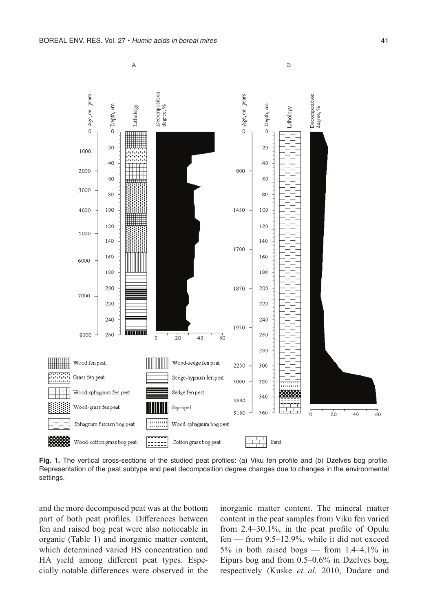

**Fig. 1.** The vertical cross-sections of the studied peat profiles: (a) Viku fen profile and (b) Dzelves bog profile. Representation of the peat subtype and peat decomposition degree changes due to changes in the environmental settings.

and the more decomposed peat was at the bottom part of both peat profiles. Differences between fen and raised bog peat were also noticeable in organic (Table 1) and inorganic matter content, which determined varied HS concentration and HA yield among different peat types. Especially notable differences were observed in the inorganic matter content. The mineral matter content in the peat samples from Viku fen varied from 2.4–30.1%, in the peat profile of Opulu fen — from 9.5–12.9%, while it did not exceed 5% in both raised bogs — from 1.4–4.1% in Eipurs bog and from 0.5–0.6% in Dzelves bog, respectively (Kuske *et al.* 2010, Dudare and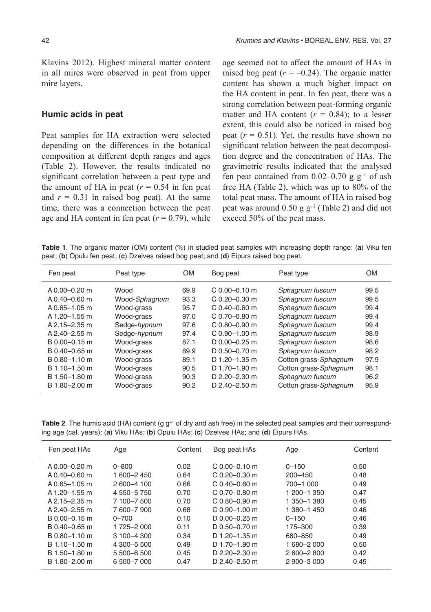Klavins 2012). Highest mineral matter content in all mires were observed in peat from upper mire layers.

#### **Humic acids in peat**

Peat samples for HA extraction were selected depending on the differences in the botanical composition at different depth ranges and ages (Table 2). However, the results indicated no significant correlation between a peat type and the amount of HA in peat  $(r = 0.54$  in fen peat and  $r = 0.31$  in raised bog peat). At the same time, there was a connection between the peat age and HA content in fen peat  $(r = 0.79)$ , while age seemed not to affect the amount of HAs in raised bog peat  $(r = -0.24)$ . The organic matter content has shown a much higher impact on the HA content in peat. In fen peat, there was a strong correlation between peat-forming organic matter and HA content  $(r = 0.84)$ ; to a lesser extent, this could also be noticed in raised bog peat  $(r = 0.51)$ . Yet, the results have shown no significant relation between the peat decomposition degree and the concentration of HAs. The gravimetric results indicated that the analysed fen peat contained from  $0.02-0.70$  g g<sup>-1</sup> of ash free HA (Table 2), which was up to 80% of the total peat mass. The amount of HA in raised bog peat was around 0.50 g  $g^{-1}$  (Table 2) and did not exceed 50% of the peat mass.

**Table 1**. The organic matter (OM) content (%) in studied peat samples with increasing depth range: (**a**) Viku fen peat; (**b**) Opulu fen peat; (**c**) Dzelves raised bog peat; and (**d**) Eipurs raised bog peat.

| Fen peat        | Peat type     | <b>OM</b> | Bog peat          | Peat type             | <b>OM</b> |
|-----------------|---------------|-----------|-------------------|-----------------------|-----------|
| $A$ 0.00-0.20 m | Wood          | 69.9      | $C_{0.00-0.10}$ m | Sphagnum fuscum       | 99.5      |
| A 0.40-0.60 m   | Wood-Sphagnum | 93.3      | $C$ 0.20-0.30 m   | Sphagnum fuscum       | 99.5      |
| A 0.65-1.05 m   | Wood-grass    | 95.7      | $C$ 0.40-0.60 m   | Sphagnum fuscum       | 99.4      |
| A 1.20-1.55 m   | Wood-grass    | 97.0      | $C$ 0.70-0.80 m   | Sphagnum fuscum       | 99.4      |
| A 2.15-2.35 m   | Sedge-hypnum  | 97.6      | $C$ 0.80-0.90 m   | Sphagnum fuscum       | 99.4      |
| A 2.40-2.55 m   | Sedge-hypnum  | 97.4      | $C$ 0.90-1.00 m   | Sphagnum fuscum       | 98.9      |
| B 0.00-0.15 m   | Wood-grass    | 87.1      | $D$ 0.00-0.25 m   | Sphagnum fuscum       | 98.6      |
| B 0.40-0.65 m   | Wood-grass    | 89.9      | $D$ 0.50-0.70 m   | Sphagnum fuscum       | 98.2      |
| B 0.80-1.10 m   | Wood-grass    | 89.1      | $D$ 1.20-1.35 m   | Cotton grass-Sphagnum | 97.9      |
| B 1.10-1.50 m   | Wood-grass    | 90.5      | D 1.70-1.90 m     | Cotton grass-Sphagnum | 98.1      |
| B 1.50-1.80 m   | Wood-grass    | 90.3      | $D$ 2.20-2.30 m   | Sphagnum fuscum       | 96.2      |
| B 1.80-2.00 m   | Wood-grass    | 90.2      | D 2.40-2.50 m     | Cotton grass-Sphagnum | 95.9      |

**Table 2**. The humic acid (HA) content (g g<sup>-1</sup> of dry and ash free) in the selected peat samples and their corresponding age (cal. years): (**a**) Viku HAs; (**b**) Opulu HAs; (**c**) Dzelves HAs; and (**d**) Eipurs HAs.

| Fen peat HAs             | Age           | Content | Bog peat HAs          | Age           | Content |
|--------------------------|---------------|---------|-----------------------|---------------|---------|
| $A$ 0.00-0.20 m          | $0 - 800$     | 0.02    | $C_{0.00-0.10}$ m     | $0 - 150$     | 0.50    |
| $A$ 0.40-0.60 m          | 1 600-2 450   | 0.64    | $C_{0.20-0.30}$ m     | $200 - 450$   | 0.48    |
| $A \cap 65 - 1 \cap 5$ m | 2 600-4 100   | 0.66    | $C_1$ 0.40 $-$ 0.60 m | 700-1 000     | 0.49    |
| $A$ 1 20-1 55 m          | 4 550 - 5 750 | 0.70    | $C$ 0.70-0.80 m       | 1 200-1 350   | 0.47    |
| $A$ 2.15-2.35 m          | 7 100-7 500   | 0.70    | $C_{0.80-0.90}$ m     | 1 350-1 380   | 0.45    |
| $A$ 2.40-2.55 m          | 7 600-7 900   | 0.68    | $C$ 0.90-1.00 m       | 1 380-1 450   | 0.46    |
| B 0.00-0.15 m            | $0 - 700$     | 0.10    | $D$ 0.00-0.25 m       | $0 - 150$     | 0.46    |
| B 0.40-0.65 m            | 1 725-2 000   | 0.11    | $D_{0.50-0.70}$ m     | 175-300       | 0.39    |
| B 0.80-1.10 m            | 3 100 - 4 300 | 0.34    | $D$ 1.20–1.35 m       | 680-850       | 0.49    |
| B 1.10-1.50 m            | 4 300 - 5 500 | 0.49    | $D$ 1 70–1 90 m       | 1 680-2 000   | 0.50    |
| B 1 50-1 80 m            | 5 500 - 6 500 | 0.45    | $D 2.20 - 2.30$ m     | $2600 - 2800$ | 0.42    |
| B 1.80-2.00 m            | 6 500 - 7 000 | 0.47    | $D 2.40 - 2.50$ m     | 2 900 - 3 000 | 0.45    |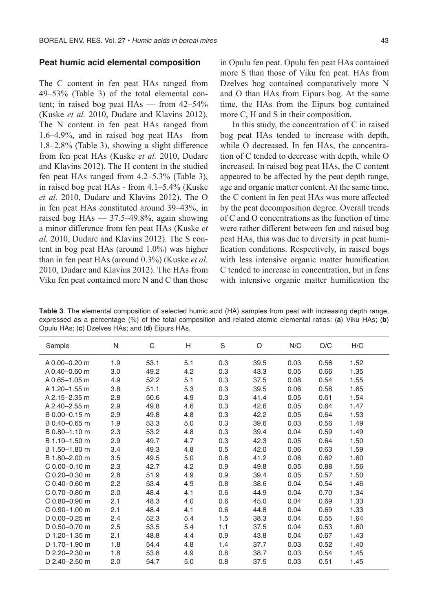#### **Peat humic acid elemental composition**

The C content in fen peat HAs ranged from 49–53% (Table 3) of the total elemental content; in raised bog peat HAs — from 42–54% (Kuske *et al.* 2010, Dudare and Klavins 2012). The N content in fen peat HAs ranged from 1.6–4.9%, and in raised bog peat HAs from 1.8–2.8% (Table 3), showing a slight difference from fen peat HAs (Kuske *et al.* 2010, Dudare and Klavins 2012). The H content in the studied fen peat HAs ranged from 4.2–5.3% (Table 3), in raised bog peat HAs - from 4.1–5.4% (Kuske *et al.* 2010, Dudare and Klavins 2012). The O in fen peat HAs constituted around 39–43%, in raised bog HAs — 37.5–49.8%, again showing a minor difference from fen peat HAs (Kuske *et al.* 2010, Dudare and Klavins 2012). The S content in bog peat HAs (around 1.0%) was higher than in fen peat HAs (around 0.3%) (Kuske *et al.* 2010, Dudare and Klavins 2012). The HAs from Viku fen peat contained more N and C than those in Opulu fen peat. Opulu fen peat HAs contained more S than those of Viku fen peat. HAs from Dzelves bog contained comparatively more N and O than HAs from Eipurs bog. At the same time, the HAs from the Eipurs bog contained more C, H and S in their composition.

In this study, the concentration of C in raised bog peat HAs tended to increase with depth, while O decreased. In fen HAs, the concentration of C tended to decrease with depth, while O increased. In raised bog peat HAs, the C content appeared to be affected by the peat depth range, age and organic matter content. At the same time, the C content in fen peat HAs was more affected by the peat decomposition degree. Overall trends of C and O concentrations as the function of time were rather different between fen and raised bog peat HAs, this was due to diversity in peat humification conditions. Respectively, in raised bogs with less intensive organic matter humification C tended to increase in concentration, but in fens with intensive organic matter humification the

**Table 3**. The elemental composition of selected humic acid (HA) samples from peat with increasing depth range, expressed as a percentage (%) of the total composition and related atomic elemental ratios: (**a**) Viku HAs; (**b**) Opulu HAs; (**c**) Dzelves HAs; and (**d**) Eipurs HAs.

| Sample          | N   | C    | H   | S   | $\circ$ | N/C  | O/C  | H/C  |
|-----------------|-----|------|-----|-----|---------|------|------|------|
| A 0.00-0.20 m   | 1.9 | 53.1 | 5.1 | 0.3 | 39.5    | 0.03 | 0.56 | 1.52 |
| A 0.40-0.60 m   | 3.0 | 49.2 | 4.2 | 0.3 | 43.3    | 0.05 | 0.66 | 1.35 |
| A 0.65-1.05 m   | 4.9 | 52.2 | 5.1 | 0.3 | 37.5    | 0.08 | 0.54 | 1.55 |
| A 1.20-1.55 m   | 3.8 | 51.1 | 5.3 | 0.3 | 39.5    | 0.06 | 0.58 | 1.65 |
| A 2.15-2.35 m   | 2.8 | 50.6 | 4.9 | 0.3 | 41.4    | 0.05 | 0.61 | 1.54 |
| A 2.40-2.55 m   | 2.9 | 49.8 | 4.6 | 0.3 | 42.6    | 0.05 | 0.64 | 1.47 |
| B 0.00-0.15 m   | 2.9 | 49.8 | 4.8 | 0.3 | 42.2    | 0.05 | 0.64 | 1.53 |
| B 0.40-0.65 m   | 1.9 | 53.3 | 5.0 | 0.3 | 39.6    | 0.03 | 0.56 | 1.49 |
| B 0.80-1.10 m   | 2.3 | 53.2 | 4.8 | 0.3 | 39.4    | 0.04 | 0.59 | 1.49 |
| B 1.10-1.50 m   | 2.9 | 49.7 | 4.7 | 0.3 | 42.3    | 0.05 | 0.64 | 1.50 |
| B 1.50-1.80 m   | 3.4 | 49.3 | 4.8 | 0.5 | 42.0    | 0.06 | 0.63 | 1.59 |
| B 1.80-2.00 m   | 3.5 | 49.5 | 5.0 | 0.8 | 41.2    | 0.06 | 0.62 | 1.60 |
| $C$ 0.00-0.10 m | 2.3 | 42.7 | 4.2 | 0.9 | 49.8    | 0.05 | 0.88 | 1.56 |
| C 0.20-0.30 m   | 2.8 | 51.9 | 4.9 | 0.9 | 39.4    | 0.05 | 0.57 | 1.50 |
| $C$ 0.40-0.60 m | 2.2 | 53.4 | 4.9 | 0.8 | 38.6    | 0.04 | 0.54 | 1.46 |
| C 0.70-0.80 m   | 2.0 | 48.4 | 4.1 | 0.6 | 44.9    | 0.04 | 0.70 | 1.34 |
| $C$ 0.80-0.90 m | 2.1 | 48.3 | 4.0 | 0.6 | 45.0    | 0.04 | 0.69 | 1.33 |
| $C$ 0.90-1.00 m | 2.1 | 48.4 | 4.1 | 0.6 | 44.8    | 0.04 | 0.69 | 1.33 |
| $D$ 0.00-0.25 m | 2.4 | 52.3 | 5.4 | 1.5 | 38.3    | 0.04 | 0.55 | 1.64 |
| D 0.50-0.70 m   | 2.5 | 53.5 | 5.4 | 1.1 | 37.5    | 0.04 | 0.53 | 1.60 |
| D 1.20-1.35 m   | 2.1 | 48.8 | 4.4 | 0.9 | 43.8    | 0.04 | 0.67 | 1.43 |
| D 1.70-1.90 m   | 1.8 | 54.4 | 4.8 | 1.4 | 37.7    | 0.03 | 0.52 | 1.40 |
| D 2.20-2.30 m   | 1.8 | 53.8 | 4.9 | 0.8 | 38.7    | 0.03 | 0.54 | 1.45 |
| D 2.40-2.50 m   | 2.0 | 54.7 | 5.0 | 0.8 | 37.5    | 0.03 | 0.51 | 1.45 |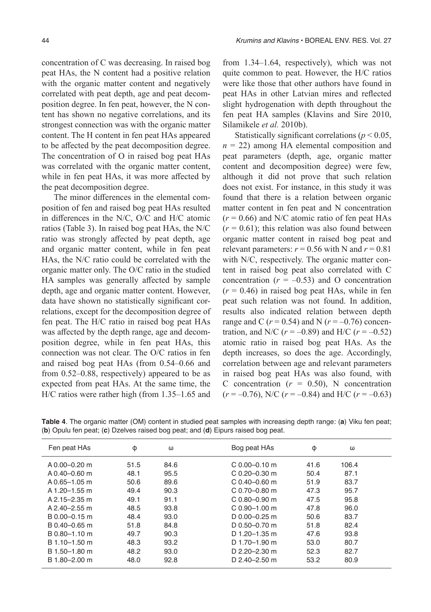concentration of C was decreasing. In raised bog peat HAs, the N content had a positive relation with the organic matter content and negatively correlated with peat depth, age and peat decomposition degree. In fen peat, however, the N content has shown no negative correlations, and its strongest connection was with the organic matter content. The H content in fen peat HAs appeared to be affected by the peat decomposition degree. The concentration of O in raised bog peat HAs was correlated with the organic matter content, while in fen peat HAs, it was more affected by

the peat decomposition degree.

The minor differences in the elemental composition of fen and raised bog peat HAs resulted in differences in the N/C, O/C and H/C atomic ratios (Table 3). In raised bog peat HAs, the N/C ratio was strongly affected by peat depth, age and organic matter content, while in fen peat HAs, the N/C ratio could be correlated with the organic matter only. The O/C ratio in the studied HA samples was generally affected by sample depth, age and organic matter content. However, data have shown no statistically significant correlations, except for the decomposition degree of fen peat. The H/C ratio in raised bog peat HAs was affected by the depth range, age and decomposition degree, while in fen peat HAs, this connection was not clear. The O/C ratios in fen and raised bog peat HAs (from 0.54–0.66 and from 0.52–0.88, respectively) appeared to be as expected from peat HAs. At the same time, the H/C ratios were rather high (from 1.35–1.65 and

from 1.34–1.64, respectively), which was not quite common to peat. However, the H/C ratios were like those that other authors have found in peat HAs in other Latvian mires and reflected slight hydrogenation with depth throughout the fen peat HA samples (Klavins and Sire 2010, Silamikele *et al.* 2010b).

Statistically significant correlations ( $p < 0.05$ ,  $n = 22$ ) among HA elemental composition and peat parameters (depth, age, organic matter content and decomposition degree) were few, although it did not prove that such relation does not exist. For instance, in this study it was found that there is a relation between organic matter content in fen peat and N concentration  $(r = 0.66)$  and N/C atomic ratio of fen peat HAs  $(r = 0.61)$ ; this relation was also found between organic matter content in raised bog peat and relevant parameters:  $r = 0.56$  with N and  $r = 0.81$ with N/C, respectively. The organic matter content in raised bog peat also correlated with C concentration  $(r = -0.53)$  and O concentration  $(r = 0.46)$  in raised bog peat HAs, while in fen peat such relation was not found. In addition, results also indicated relation between depth range and C ( $r = 0.54$ ) and N ( $r = -0.76$ ) concentration, and N/C  $(r = -0.89)$  and H/C  $(r = -0.52)$ atomic ratio in raised bog peat HAs. As the depth increases, so does the age. Accordingly, correlation between age and relevant parameters in raised bog peat HAs was also found, with C concentration  $(r = 0.50)$ , N concentration  $(r = -0.76)$ , N/C  $(r = -0.84)$  and H/C  $(r = -0.63)$ 

**Table 4**. The organic matter (OM) content in studied peat samples with increasing depth range: (**a**) Viku fen peat; (**b**) Opulu fen peat; (**c**) Dzelves raised bog peat; and (**d**) Eipurs raised bog peat.

| Fen peat HAs          | Φ    | ω    | Bog peat HAs      | Φ    | ω     |  |
|-----------------------|------|------|-------------------|------|-------|--|
| $A$ 0.00-0.20 m       | 51.5 | 84.6 | $C_{0.00-0.10}$ m | 41.6 | 106.4 |  |
| $A$ 0.40-0.60 m       | 48.1 | 95.5 | $C$ 0.20-0.30 m   | 50.4 | 87.1  |  |
| $A \cap 65 - 1$ 0.5 m | 50.6 | 89.6 | $C$ 0.40-0.60 m   | 51.9 | 83.7  |  |
| A 1.20-1.55 m         | 49.4 | 90.3 | $C$ 0.70–0.80 m   | 47.3 | 95.7  |  |
| A 2.15-2.35 m         | 49.1 | 91.1 | $C$ 0.80-0.90 m   | 47.5 | 95.8  |  |
| $A$ 2 40 - 2 55 m     | 48.5 | 93.8 | $C$ 0.90-1.00 m   | 47.8 | 96.0  |  |
| B 0.00-0.15 m         | 48.4 | 93.0 | $D$ 0.00-0.25 m   | 50.6 | 83.7  |  |
| B 0.40-0.65 m         | 51.8 | 84.8 | $D$ 0.50-0.70 m   | 51.8 | 82.4  |  |
| B 0.80-1.10 m         | 49.7 | 90.3 | $D$ 1.20-1.35 m   | 47.6 | 93.8  |  |
| B 1.10-1.50 m         | 48.3 | 93.2 | $D$ 1.70-1.90 m   | 53.0 | 80.7  |  |
| B 1.50-1.80 m         | 48.2 | 93.0 | $D$ 2.20-2.30 m   | 52.3 | 82.7  |  |
| B 1.80-2.00 m         | 48.0 | 92.8 | $D 2.40 - 2.50$ m | 53.2 | 80.9  |  |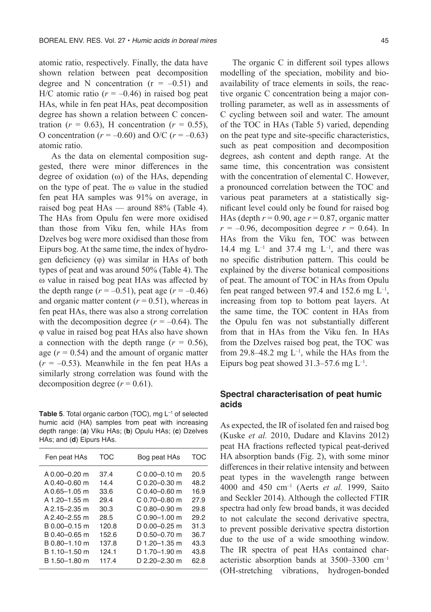atomic ratio, respectively. Finally, the data have shown relation between peat decomposition degree and N concentration  $(r = -0.51)$  and H/C atomic ratio  $(r = -0.46)$  in raised bog peat HAs, while in fen peat HAs, peat decomposition degree has shown a relation between C concentration ( $r = 0.63$ ), H concentration ( $r = 0.55$ ), O concentration ( $r = -0.60$ ) and O/C ( $r = -0.63$ ) atomic ratio.

As the data on elemental composition suggested, there were minor differences in the degree of oxidation (ω) of the HAs, depending on the type of peat. The ω value in the studied fen peat HA samples was 91% on average, in raised bog peat HAs — around 88% (Table 4). The HAs from Opulu fen were more oxidised than those from Viku fen, while HAs from Dzelves bog were more oxidised than those from Eipurs bog. At the same time, the index of hydrogen deficiency (φ) was similar in HAs of both types of peat and was around 50% (Table 4). The ω value in raised bog peat HAs was affected by the depth range  $(r = -0.51)$ , peat age  $(r = -0.46)$ and organic matter content  $(r = 0.51)$ , whereas in fen peat HAs, there was also a strong correlation with the decomposition degree  $(r = -0.64)$ . The φ value in raised bog peat HAs also have shown a connection with the depth range  $(r = 0.56)$ , age  $(r = 0.54)$  and the amount of organic matter  $(r = -0.53)$ . Meanwhile in the fen peat HAs a similarly strong correlation was found with the decomposition degree  $(r = 0.61)$ .

Table 5. Total organic carbon (TOC), mg L<sup>-1</sup> of selected humic acid (HA) samples from peat with increasing depth range: (**a**) Viku HAs; (**b**) Opulu HAs; (**c**) Dzelves HAs; and (**d**) Eipurs HAs.

| Fen peat HAs             | TOC   | Bog peat HAs            | TOC  |
|--------------------------|-------|-------------------------|------|
| A 0.00-0.20 m            | 37.4  | $C_{0.00-0.10}$ m       | 20.5 |
| $A \cap 40 - 0.60$ m     | 144   | C 0 20-0 30 m           | 48.2 |
| $A \cap 65 - 1 \cap 5$ m | 336   | C 0 40–0 60 m           | 16.9 |
| A 1 20-1 55 m            | 294   | C 0.70-0.80 m           | 27.9 |
| $A$ 2 15–2 35 m          | 30.3  | C 0 80-0 90 m           | 29 R |
| $A$ 2 40 - 2 55 m        | 28.5  | $C_{1}$ 0.90 $-1$ 0.0 m | 29.2 |
| B 0 00-0 15 m            | 120.8 | D 0.00-0.25 m           | 313  |
| B 0 40-0 65 m            | 1526  | D 0 50-0 70 m           | 36.7 |
| B 0.80-1.10 m            | 137.8 | $D$ 1 20–1 35 m         | 43.3 |
| B 1.10-1.50 m            | 1241  | D 1 70-1 90 m           | 43.8 |
| B 1 50-1 80 m            | 1174  | D 2.20-2.30 m           | 62.8 |

The organic C in different soil types allows modelling of the speciation, mobility and bioavailability of trace elements in soils, the reactive organic C concentration being a major controlling parameter, as well as in assessments of C cycling between soil and water. The amount of the TOC in HAs (Table 5) varied, depending on the peat type and site-specific characteristics, such as peat composition and decomposition degrees, ash content and depth range. At the same time, this concentration was consistent with the concentration of elemental C. However, a pronounced correlation between the TOC and various peat parameters at a statistically significant level could only be found for raised bog HAs (depth  $r = 0.90$ , age  $r = 0.87$ , organic matter  $r = -0.96$ , decomposition degree  $r = 0.64$ ). In HAs from the Viku fen, TOC was between 14.4 mg  $L^{-1}$  and 37.4 mg  $L^{-1}$ , and there was no specific distribution pattern. This could be explained by the diverse botanical compositions of peat. The amount of TOC in HAs from Opulu fen peat ranged between 97.4 and 152.6 mg  $L^{-1}$ , increasing from top to bottom peat layers. At the same time, the TOC content in HAs from the Opulu fen was not substantially different from that in HAs from the Viku fen. In HAs from the Dzelves raised bog peat, the TOC was from 29.8–48.2 mg  $L^{-1}$ , while the HAs from the Eipurs bog peat showed  $31.3-57.6$  mg  $L^{-1}$ .

#### **Spectral characterisation of peat humic acids**

As expected, the IR of isolated fen and raised bog (Kuske *et al.* 2010, Dudare and Klavins 2012) peat HA fractions reflected typical peat-derived HA absorption bands (Fig. 2), with some minor differences in their relative intensity and between peat types in the wavelength range between 4000 and 450 cm–1 (Aerts *et al.* 1999, Saito and Seckler 2014). Although the collected FTIR spectra had only few broad bands, it was decided to not calculate the second derivative spectra, to prevent possible derivative spectra distortion due to the use of a wide smoothing window. The IR spectra of peat HAs contained characteristic absorption bands at 3500–3300 cm–1 (OH-stretching vibrations, hydrogen-bonded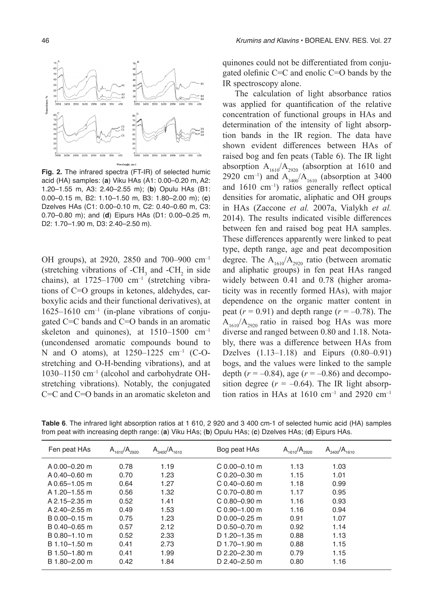

**Fig. 2.** The infrared spectra (FT-IR) of selected humic acid (HA) samples: (**a**) Viku HAs (A1: 0.00–0.20 m, A2: 1.20–1.55 m, A3: 2.40–2.55 m); (**b**) Opulu HAs (B1: 0.00–0.15 m, B2: 1.10–1.50 m, B3: 1.80–2.00 m); (**c**) Dzelves HAs (C1: 0.00–0.10 m, C2: 0.40–0.60 m, C3: 0.70–0.80 m); and (**d**) Eipurs HAs (D1: 0.00–0.25 m, D2: 1.70–1.90 m, D3: 2.40–2.50 m).

OH groups), at 2920, 2850 and 700–900 cm–1 (stretching vibrations of -CH<sub>3</sub> and -CH<sub>2</sub> in side chains), at  $1725-1700$  cm<sup>-1</sup> (stretching vibrations of C=O groups in ketones, aldehydes, carboxylic acids and their functional derivatives), at  $1625-1610$  cm<sup>-1</sup> (in-plane vibrations of conjugated C=C bands and C=O bands in an aromatic skeleton and quinones), at  $1510-1500$  cm<sup>-1</sup> (uncondensed aromatic compounds bound to N and O atoms), at 1250–1225 cm–1 (C-Ostretching and O-H-bending vibrations), and at 1030–1150 cm–1 (alcohol and carbohydrate OHstretching vibrations). Notably, the conjugated C=C and C=O bands in an aromatic skeleton and

quinones could not be differentiated from conjugated olefinic C=C and enolic C=O bands by the IR spectroscopy alone.

The calculation of light absorbance ratios was applied for quantification of the relative concentration of functional groups in HAs and determination of the intensity of light absorption bands in the IR region. The data have shown evident differences between HAs of raised bog and fen peats (Table 6). The IR light absorption  $A_{1610}/A_{2920}$  (absorption at 1610 and 2920 cm<sup>-1</sup>) and  $A_{3400}^{220} / A_{1610}$  (absorption at 3400 and 1610 cm–1) ratios generally reflect optical densities for aromatic, aliphatic and OH groups in HAs (Zaccone *et al.* 2007a, Vialykh *et al.* 2014). The results indicated visible differences between fen and raised bog peat HA samples. These differences apparently were linked to peat type, depth range, age and peat decomposition degree. The  $A_{1610}/A_{2920}$  ratio (between aromatic and aliphatic groups) in fen peat HAs ranged widely between 0.41 and 0.78 (higher aromaticity was in recently formed HAs), with major dependence on the organic matter content in peat  $(r = 0.91)$  and depth range  $(r = -0.78)$ . The  $A_{1610}/A_{2920}$  ratio in raised bog HAs was more diverse and ranged between 0.80 and 1.18. Notably, there was a difference between HAs from Dzelves (1.13–1.18) and Eipurs (0.80–0.91) bogs, and the values were linked to the sample depth  $(r = -0.84)$ , age  $(r = -0.86)$  and decomposition degree ( $r = -0.64$ ). The IR light absorption ratios in HAs at  $1610 \text{ cm}^{-1}$  and  $2920 \text{ cm}^{-1}$ 

**Table 6**. The infrared light absorption ratios at 1 610, 2 920 and 3 400 cm-1 of selected humic acid (HA) samples from peat with increasing depth range: (**a**) Viku HAs; (**b**) Opulu HAs; (**c**) Dzelves HAs; (**d**) Eipurs HAs.

| Fen peat HAs             | $A_{1610}/A_{2920}$ | $A_{3400}/A_{1610}$ | Bog peat HAs      | $A_{1610}/A_{2920}$ | $A_{3400}/A_{1610}$ |  |
|--------------------------|---------------------|---------------------|-------------------|---------------------|---------------------|--|
| $A$ 0.00-0.20 m          | 0.78                | 1.19                | $C_{0.00-0.10}$ m | 1.13                | 1.03                |  |
| $A$ 0.40-0.60 m          | 0.70                | 1.23                | $C$ 0.20-0.30 m   | 1.15                | 1.01                |  |
| $A \cap 65 - 1 \cap 5$ m | 0.64                | 1.27                | $C_{0.40-0.60}$ m | 1.18                | 0.99                |  |
| A 1.20-1.55 m            | 0.56                | 1.32                | $C$ 0.70-0.80 m   | 1.17                | 0.95                |  |
| $A$ 2 15–2 35 m          | 0.52                | 1.41                | $C$ 0.80-0.90 m   | 1.16                | 0.93                |  |
| $A$ 2 40 - 2 55 m        | 0.49                | 1.53                | $C$ 0.90-1.00 m   | 1.16                | 0.94                |  |
| B 0.00-0.15 m            | 0.75                | 1.23                | $D$ 0.00-0.25 m   | 0.91                | 1.07                |  |
| B 0.40-0.65 m            | 0.57                | 2.12                | $D$ 0.50-0.70 m   | 0.92                | 1.14                |  |
| B 0.80-1.10 m            | 0.52                | 2.33                | $D$ 1.20-1.35 m   | 0.88                | 1.13                |  |
| B 1.10-1.50 m            | 0.41                | 2.73                | $D$ 1.70-1.90 m   | 0.88                | 1.15                |  |
| B 1.50-1.80 m            | 0.41                | 1.99                | $D 2.20 - 2.30$ m | 0.79                | 1.15                |  |
| B 1.80-2.00 m            | 0.42                | 1.84                | $D 2.40 - 2.50$ m | 0.80                | 1.16                |  |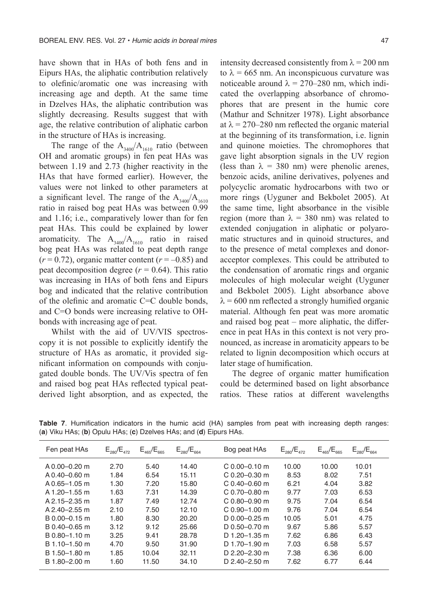have shown that in HAs of both fens and in Eipurs HAs, the aliphatic contribution relatively to olefinic/aromatic one was increasing with increasing age and depth. At the same time in Dzelves HAs, the aliphatic contribution was slightly decreasing. Results suggest that with age, the relative contribution of aliphatic carbon in the structure of HAs is increasing.

The range of the  $A_{3400}/A_{1610}$  ratio (between OH and aromatic groups) in fen peat HAs was between 1.19 and 2.73 (higher reactivity in the HAs that have formed earlier). However, the values were not linked to other parameters at a significant level. The range of the  $A_{3400}/A_{1610}$ ratio in raised bog peat HAs was between 0.99 and 1.16; i.e., comparatively lower than for fen peat HAs. This could be explained by lower aromaticity. The  $A_{3400}/A_{1610}$  ratio in raised bog peat HAs was related to peat depth range  $(r = 0.72)$ , organic matter content  $(r = -0.85)$  and peat decomposition degree  $(r = 0.64)$ . This ratio was increasing in HAs of both fens and Eipurs bog and indicated that the relative contribution of the olefinic and aromatic C=C double bonds, and C=O bonds were increasing relative to OHbonds with increasing age of peat.

Whilst with the aid of UV/VIS spectroscopy it is not possible to explicitly identify the structure of HAs as aromatic, it provided significant information on compounds with conjugated double bonds. The UV/Vis spectra of fen and raised bog peat HAs reflected typical peatderived light absorption, and as expected, the intensity decreased consistently from  $\lambda = 200$  nm to  $\lambda = 665$  nm. An inconspicuous curvature was noticeable around  $\lambda = 270-280$  nm, which indicated the overlapping absorbance of chromophores that are present in the humic core (Mathur and Schnitzer 1978). Light absorbance at  $\lambda = 270 - 280$  nm reflected the organic material at the beginning of its transformation, i.e. lignin and quinone moieties. The chromophores that gave light absorption signals in the UV region (less than  $\lambda = 380$  nm) were phenolic arenes, benzoic acids, aniline derivatives, polyenes and polycyclic aromatic hydrocarbons with two or more rings (Uyguner and Bekbolet 2005). At the same time, light absorbance in the visible region (more than  $\lambda = 380$  nm) was related to extended conjugation in aliphatic or polyaromatic structures and in quinoid structures, and to the presence of metal complexes and donoracceptor complexes. This could be attributed to the condensation of aromatic rings and organic molecules of high molecular weight (Uyguner and Bekbolet 2005). Light absorbance above  $\lambda$  = 600 nm reflected a strongly humified organic material. Although fen peat was more aromatic and raised bog peat – more aliphatic, the difference in peat HAs in this context is not very pronounced, as increase in aromaticity appears to be related to lignin decomposition which occurs at later stage of humification.

The degree of organic matter humification could be determined based on light absorbance ratios. These ratios at different wavelengths

**Table 7**. Humification indicators in the humic acid (HA) samples from peat with increasing depth ranges: (**a**) Viku HAs; (**b**) Opulu HAs; (**c**) Dzelves HAs; and (**d**) Eipurs HAs.

| Fen peat HAs    | $E_{280}/E_{472}$ | $E_{465}/E_{665}$ | $E_{280}/E_{664}$ | Bog peat HAs      | $E_{280}/E_{472}$ | $E_{465}/E_{665}$ | $E_{280}/E_{664}$ |
|-----------------|-------------------|-------------------|-------------------|-------------------|-------------------|-------------------|-------------------|
| $A$ 0.00-0.20 m | 2.70              | 5.40              | 14.40             | $C_{0.00-0.10}$ m | 10.00             | 10.00             | 10.01             |
| A 0.40-0.60 m   | 1.84              | 6.54              | 15.11             | $C$ 0.20-0.30 m   | 8.53              | 8.02              | 7.51              |
| $A$ 0.65-1.05 m | 1.30              | 7.20              | 15.80             | $C_{0.40-0.60}$ m | 6.21              | 4.04              | 3.82              |
| $A$ 1.20-1.55 m | 1.63              | 7.31              | 14.39             | $C$ 0.70-0.80 m   | 9.77              | 7.03              | 6.53              |
| $A$ 2.15-2.35 m | 1.87              | 7.49              | 12.74             | $C$ 0.80-0.90 m   | 9.75              | 7.04              | 6.54              |
| A 2.40-2.55 m   | 2.10              | 7.50              | 12.10             | $C$ 0.90-1.00 m   | 9.76              | 7.04              | 6.54              |
| B 0.00-0.15 m   | 1.80              | 8.30              | 20.20             | $D$ 0.00-0.25 m   | 10.05             | 5.01              | 4.75              |
| B 0.40-0.65 m   | 3.12              | 9.12              | 25.66             | $D$ 0.50-0.70 m   | 9.67              | 5.86              | 5.57              |
| B 0 80-1 10 m   | 3.25              | 9.41              | 28.78             | $D$ 1 20-1 35 m   | 7.62              | 6.86              | 6.43              |
| B 1.10-1.50 m   | 4.70              | 9.50              | 31.90             | $D$ 1.70-1.90 m   | 7.03              | 6.58              | 5.57              |
| B 1 50-1 80 m   | 1.85              | 10.04             | 32.11             | $D 2.20 - 2.30$ m | 7.38              | 6.36              | 6.00              |
| B 1.80-2.00 m   | 1.60              | 11.50             | 34.10             | $D$ 2.40-2.50 m   | 7.62              | 6.77              | 6.44              |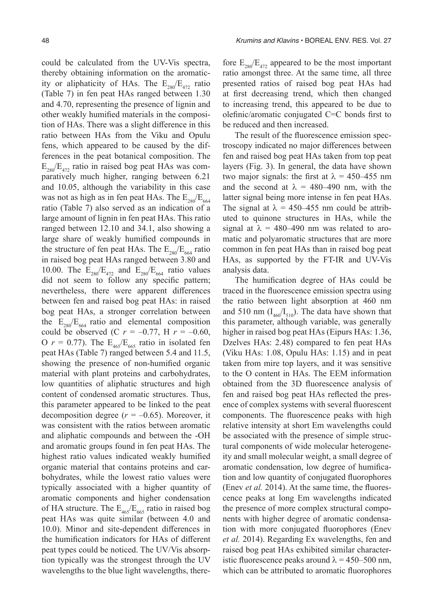could be calculated from the UV-Vis spectra, thereby obtaining information on the aromaticity or aliphaticity of HAs. The  $E_{280}/E_{472}$  ratio (Table 7) in fen peat HAs ranged between 1.30 and 4.70, representing the presence of lignin and other weakly humified materials in the composition of HAs. There was a slight difference in this ratio between HAs from the Viku and Opulu fens, which appeared to be caused by the differences in the peat botanical composition. The  $E_{280}/E_{472}$  ratio in raised bog peat HAs was comparatively much higher, ranging between 6.21 and 10.05, although the variability in this case was not as high as in fen peat HAs. The  $E_{280}/E_{664}$ ratio (Table 7) also served as an indication of a large amount of lignin in fen peat HAs. This ratio ranged between 12.10 and 34.1, also showing a large share of weakly humified compounds in the structure of fen peat HAs. The  $E_{280}/E_{664}$  ratio in raised bog peat HAs ranged between 3.80 and 10.00. The  $E_{280}/E_{472}$  and  $E_{280}/E_{664}$  ratio values did not seem to follow any specific pattern; nevertheless, there were apparent differences between fen and raised bog peat HAs: in raised bog peat HAs, a stronger correlation between the  $E_{280}/E_{664}$  ratio and elemental composition could be observed (C  $r = -0.77$ , H  $r = -0.60$ , O  $r = 0.77$ ). The  $E_{465}/E_{665}$  ratio in isolated fen peat HAs (Table 7) ranged between 5.4 and 11.5, showing the presence of non-humified organic material with plant proteins and carbohydrates, low quantities of aliphatic structures and high content of condensed aromatic structures. Thus, this parameter appeared to be linked to the peat decomposition degree  $(r = -0.65)$ . Moreover, it was consistent with the ratios between aromatic and aliphatic compounds and between the -OH and aromatic groups found in fen peat HAs. The highest ratio values indicated weakly humified organic material that contains proteins and carbohydrates, while the lowest ratio values were typically associated with a higher quantity of aromatic components and higher condensation of HA structure. The  $E_{465}/E_{665}$  ratio in raised bog peat HAs was quite similar (between 4.0 and 10.0). Minor and site-dependent differences in the humification indicators for HAs of different peat types could be noticed. The UV/Vis absorption typically was the strongest through the UV wavelengths to the blue light wavelengths, therefore  $E_{280}/E_{472}$  appeared to be the most important ratio amongst three. At the same time, all three presented ratios of raised bog peat HAs had at first decreasing trend, which then changed to increasing trend, this appeared to be due to olefinic/aromatic conjugated C=C bonds first to be reduced and then increased.

The result of the fluorescence emission spectroscopy indicated no major differences between fen and raised bog peat HAs taken from top peat layers (Fig. 3). In general, the data have shown two major signals: the first at  $\lambda = 450 - 455$  nm and the second at  $\lambda = 480 - 490$  nm, with the latter signal being more intense in fen peat HAs. The signal at  $\lambda = 450 - 455$  nm could be attributed to quinone structures in HAs, while the signal at  $\lambda = 480 - 490$  nm was related to aromatic and polyaromatic structures that are more common in fen peat HAs than in raised bog peat HAs, as supported by the FT-IR and UV-Vis analysis data.

The humification degree of HAs could be traced in the fluorescence emission spectra using the ratio between light absorption at 460 nm and 510 nm  $(I_{460}/I_{510})$ . The data have shown that this parameter, although variable, was generally higher in raised bog peat HAs (Eipurs HAs: 1.36, Dzelves HAs: 2.48) compared to fen peat HAs (Viku HAs: 1.08, Opulu HAs: 1.15) and in peat taken from mire top layers, and it was sensitive to the O content in HAs. The EEM information obtained from the 3D fluorescence analysis of fen and raised bog peat HAs reflected the presence of complex systems with several fluorescent components. The fluorescence peaks with high relative intensity at short Em wavelengths could be associated with the presence of simple structural components of wide molecular heterogeneity and small molecular weight, a small degree of aromatic condensation, low degree of humification and low quantity of conjugated fluorophores (Enev *et al.* 2014). At the same time, the fluorescence peaks at long Em wavelengths indicated the presence of more complex structural components with higher degree of aromatic condensation with more conjugated fluorophores (Enev *et al.* 2014). Regarding Ex wavelengths, fen and raised bog peat HAs exhibited similar characteristic fluorescence peaks around  $\lambda = 450 - 500$  nm, which can be attributed to aromatic fluorophores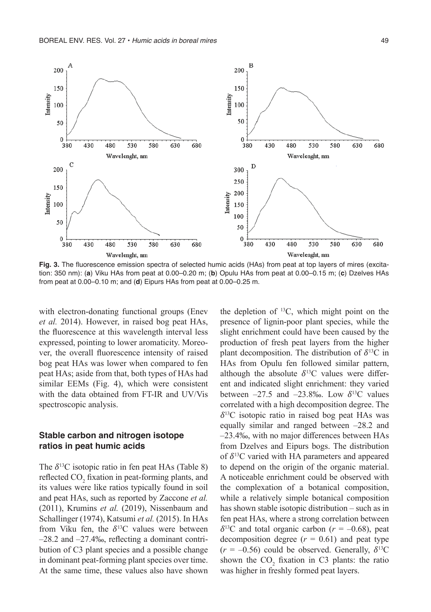

**Fig. 3.** The fluorescence emission spectra of selected humic acids (HAs) from peat at top layers of mires (excitation: 350 nm): (**a**) Viku HAs from peat at 0.00–0.20 m; (**b**) Opulu HAs from peat at 0.00–0.15 m; (**c**) Dzelves HAs from peat at 0.00–0.10 m; and (**d**) Eipurs HAs from peat at 0.00–0.25 m.

with electron-donating functional groups (Enev *et al.* 2014). However, in raised bog peat HAs, the fluorescence at this wavelength interval less expressed, pointing to lower aromaticity. Moreover, the overall fluorescence intensity of raised bog peat HAs was lower when compared to fen peat HAs; aside from that, both types of HAs had similar EEMs (Fig. 4), which were consistent with the data obtained from FT-IR and UV/Vis spectroscopic analysis.

#### **Stable carbon and nitrogen isotope ratios in peat humic acids**

The  $\delta^{13}$ C isotopic ratio in fen peat HAs (Table 8) reflected  $CO_2$  fixation in peat-forming plants, and its values were like ratios typically found in soil and peat HAs, such as reported by Zaccone *et al.* (2011), Krumins *et al.* (2019), Nissenbaum and Schallinger (1974), Katsumi *et al.* (2015). In HAs from Viku fen, the  $\delta^{13}$ C values were between  $-28.2$  and  $-27.4\%$ , reflecting a dominant contribution of C3 plant species and a possible change in dominant peat-forming plant species over time. At the same time, these values also have shown

the depletion of 13C, which might point on the presence of lignin-poor plant species, while the slight enrichment could have been caused by the production of fresh peat layers from the higher plant decomposition. The distribution of  $\delta^{13}C$  in HAs from Opulu fen followed similar pattern, although the absolute  $\delta^{13}$ C values were different and indicated slight enrichment: they varied between  $-27.5$  and  $-23.8\%$ . Low  $\delta^{13}$ C values correlated with a high decomposition degree. The  $\delta^{13}$ C isotopic ratio in raised bog peat HAs was equally similar and ranged between –28.2 and –23.4‰, with no major differences between HAs from Dzelves and Eipurs bogs. The distribution of  $\delta^{13}$ C varied with HA parameters and appeared to depend on the origin of the organic material. A noticeable enrichment could be observed with the complexation of a botanical composition, while a relatively simple botanical composition has shown stable isotopic distribution – such as in fen peat HAs, where a strong correlation between  $\delta^{13}$ C and total organic carbon ( $r = -0.68$ ), peat decomposition degree  $(r = 0.61)$  and peat type  $(r = -0.56)$  could be observed. Generally,  $\delta^{13}$ C shown the  $CO_2$  fixation in C3 plants: the ratio was higher in freshly formed peat layers.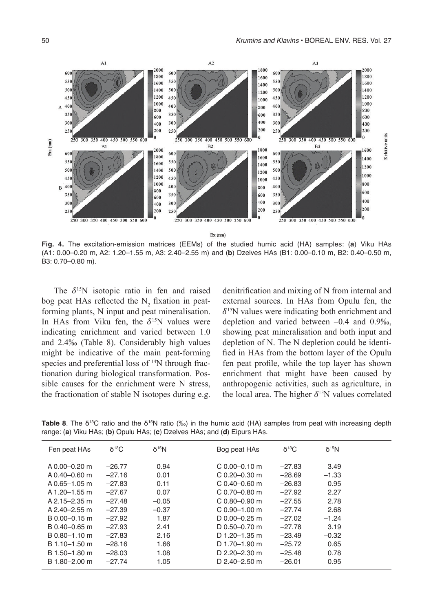

**Fig. 4.** The excitation-emission matrices (EEMs) of the studied humic acid (HA) samples: (**a**) Viku HAs (A1: 0.00–0.20 m, A2: 1.20–1.55 m, A3: 2.40–2.55 m) and (**b**) Dzelves HAs (B1: 0.00–0.10 m, B2: 0.40–0.50 m, B3: 0.70–0.80 m).

The  $\delta^{15}N$  isotopic ratio in fen and raised bog peat HAs reflected the  $N_2$  fixation in peatforming plants, N input and peat mineralisation. In HAs from Viku fen, the  $\delta^{15}N$  values were indicating enrichment and varied between 1.0 and 2.4‰ (Table 8). Considerably high values might be indicative of the main peat-forming species and preferential loss of <sup>14</sup>N through fractionation during biological transformation. Possible causes for the enrichment were N stress, the fractionation of stable N isotopes during e.g.

denitrification and mixing of N from internal and external sources. In HAs from Opulu fen, the  $\delta$ <sup>15</sup>N values were indicating both enrichment and depletion and varied between –0.4 and 0.9‰, showing peat mineralisation and both input and depletion of N. The N depletion could be identified in HAs from the bottom layer of the Opulu fen peat profile, while the top layer has shown enrichment that might have been caused by anthropogenic activities, such as agriculture, in the local area. The higher  $\delta^{15}N$  values correlated

**Table 8**. The δ<sup>13</sup>C ratio and the δ<sup>15</sup>N ratio (‰) in the humic acid (HA) samples from peat with increasing depth range: (**a**) Viku HAs; (**b**) Opulu HAs; (**c**) Dzelves HAs; and (**d**) Eipurs HAs.

| Fen peat HAs    | $\delta^{13}$ C | $\delta^{15}N$ | Bog peat HAs      | $\delta^{13}C$ | $\delta^{15}N$ |  |
|-----------------|-----------------|----------------|-------------------|----------------|----------------|--|
| $A$ 0.00-0.20 m | $-26.77$        | 0.94           | $C_{0.00-0.10}$ m | $-27.83$       | 3.49           |  |
| $A$ 0.40–0.60 m | $-27.16$        | 0.01           | $C$ 0.20-0.30 m   | $-28.69$       | $-1.33$        |  |
| $A$ 0.65-1.05 m | $-27.83$        | 0.11           | $C$ 0.40-0.60 m   | $-26.83$       | 0.95           |  |
| $A$ 1.20-1.55 m | $-27.67$        | 0.07           | $C$ 0.70–0.80 m   | $-27.92$       | 2.27           |  |
| $A$ 2.15–2.35 m | $-27.48$        | $-0.05$        | $C$ 0.80-0.90 m   | $-27.55$       | 2.78           |  |
| $A$ 2.40–2.55 m | $-27.39$        | $-0.37$        | $C$ 0.90-1.00 m   | $-27.74$       | 2.68           |  |
| B 0.00-0.15 m   | $-27.92$        | 1.87           | $D$ 0.00-0.25 m   | $-27.02$       | $-1.24$        |  |
| B 0.40-0.65 m   | $-27.93$        | 2.41           | $D$ 0.50-0.70 m   | $-27.78$       | 3.19           |  |
| B 0.80-1.10 m   | $-27.83$        | 2.16           | $D$ 1.20-1.35 m   | $-23.49$       | $-0.32$        |  |
| B 1.10-1.50 m   | $-28.16$        | 1.66           | $D$ 1.70–1.90 m   | $-25.72$       | 0.65           |  |
| B 1.50-1.80 m   | $-28.03$        | 1.08           | $D 2.20 - 2.30$ m | $-25.48$       | 0.78           |  |
| B 1.80-2.00 m   | $-27.74$        | 1.05           | $D 2.40 - 2.50$ m | $-26.01$       | 0.95           |  |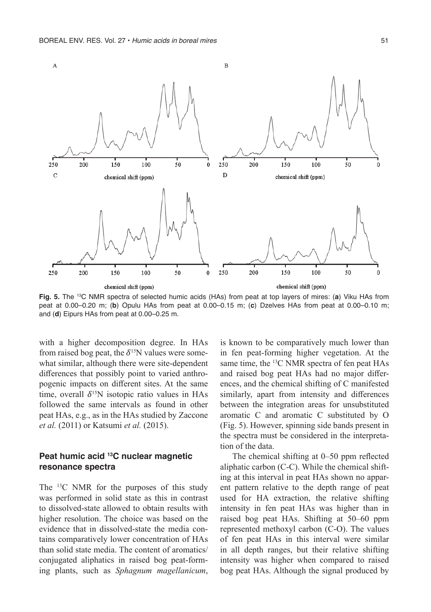

**Fig. 5.** The 13C NMR spectra of selected humic acids (HAs) from peat at top layers of mires: (**a**) Viku HAs from peat at 0.00–0.20 m; (**b**) Opulu HAs from peat at 0.00–0.15 m; (**c**) Dzelves HAs from peat at 0.00–0.10 m; and (**d**) Eipurs HAs from peat at 0.00–0.25 m.

with a higher decomposition degree. In HAs from raised bog peat, the  $\delta^{15}N$  values were somewhat similar, although there were site-dependent differences that possibly point to varied anthropogenic impacts on different sites. At the same time, overall  $\delta^{15}N$  isotopic ratio values in HAs followed the same intervals as found in other peat HAs, e.g., as in the HAs studied by Zaccone *et al.* (2011) or Katsumi *et al.* (2015).

#### **Peat humic acid 13C nuclear magnetic resonance spectra**

The 13C NMR for the purposes of this study was performed in solid state as this in contrast to dissolved-state allowed to obtain results with higher resolution. The choice was based on the evidence that in dissolved-state the media contains comparatively lower concentration of HAs than solid state media. The content of aromatics/ conjugated aliphatics in raised bog peat-forming plants, such as *Sphagnum magellanicum*,

is known to be comparatively much lower than in fen peat-forming higher vegetation. At the same time, the 13C NMR spectra of fen peat HAs and raised bog peat HAs had no major differences, and the chemical shifting of C manifested similarly, apart from intensity and differences between the integration areas for unsubstituted aromatic C and aromatic C substituted by O (Fig. 5). However, spinning side bands present in the spectra must be considered in the interpretation of the data.

The chemical shifting at 0–50 ppm reflected aliphatic carbon (C-C). While the chemical shifting at this interval in peat HAs shown no apparent pattern relative to the depth range of peat used for HA extraction, the relative shifting intensity in fen peat HAs was higher than in raised bog peat HAs. Shifting at 50–60 ppm represented methoxyl carbon (C-O). The values of fen peat HAs in this interval were similar in all depth ranges, but their relative shifting intensity was higher when compared to raised bog peat HAs. Although the signal produced by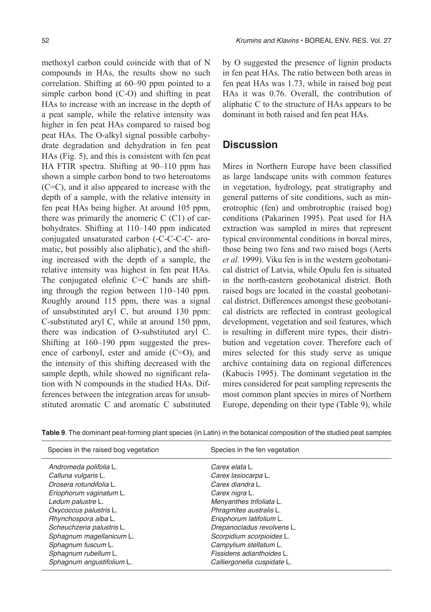methoxyl carbon could coincide with that of N compounds in HAs, the results show no such correlation. Shifting at 60–90 ppm pointed to a simple carbon bond (C-O) and shifting in peat HAs to increase with an increase in the depth of a peat sample, while the relative intensity was higher in fen peat HAs compared to raised bog peat HAs. The O-alkyl signal possible carbohydrate degradation and dehydration in fen peat HAs (Fig. 5), and this is consistent with fen peat HA FTIR spectra. Shifting at 90–110 ppm has shown a simple carbon bond to two heteroatoms (C=C), and it also appeared to increase with the depth of a sample, with the relative intensity in fen peat HAs being higher. At around 105 ppm, there was primarily the anomeric C (C1) of carbohydrates. Shifting at 110–140 ppm indicated conjugated unsaturated carbon (-C-C-C-C- aromatic, but possibly also aliphatic), and the shifting increased with the depth of a sample, the relative intensity was highest in fen peat HAs. The conjugated olefinic C=C bands are shifting through the region between 110–140 ppm. Roughly around 115 ppm, there was a signal of unsubstituted aryl C, but around 130 ppm: C-substituted aryl C, while at around 150 ppm, there was indication of O-substituted aryl C. Shifting at 160–190 ppm suggested the presence of carbonyl, ester and amide (C=O), and the intensity of this shifting decreased with the sample depth, while showed no significant relation with N compounds in the studied HAs. Differences between the integration areas for unsubstituted aromatic C and aromatic C substituted by O suggested the presence of lignin products in fen peat HAs. The ratio between both areas in fen peat HAs was 1.73, while in raised bog peat HAs it was 0.76. Overall, the contribution of aliphatic C to the structure of HAs appears to be dominant in both raised and fen peat HAs.

#### **Discussion**

Mires in Northern Europe have been classified as large landscape units with common features in vegetation, hydrology, peat stratigraphy and general patterns of site conditions, such as minerotrophic (fen) and ombrotrophic (raised bog) conditions (Pakarinen 1995). Peat used for HA extraction was sampled in mires that represent typical environmental conditions in boreal mires, those being two fens and two raised bogs (Aerts *et al.* 1999). Viku fen is in the western geobotanical district of Latvia, while Opulu fen is situated in the north-eastern geobotanical district. Both raised bogs are located in the coastal geobotanical district. Differences amongst these geobotanical districts are reflected in contrast geological development, vegetation and soil features, which is resulting in different mire types, their distribution and vegetation cover. Therefore each of mires selected for this study serve as unique archive containing data on regional differences (Kabucis 1995). The dominant vegetation in the mires considered for peat sampling represents the most common plant species in mires of Northern Europe, depending on their type (Table 9), while

| Species in the raised bog vegetation              | Species in the fen vegetation                          |
|---------------------------------------------------|--------------------------------------------------------|
| Andromeda polifolia L.                            | Carex elata L.                                         |
| Calluna vulgaris L.<br>Drosera rotundifolia L.    | Carex lasiocarpa L.<br>Carex diandra L.                |
| Eriophorum vaginatum L.<br>Ledum palustre L.      | Carex nigra L.<br>Menyanthes trifoliata L.             |
| Oxycoccus palustris L.                            | Phragmites australis L.                                |
| Rhynchospora alba L.<br>Scheuchzeria palustris L. | Eriophorum latifolium L.<br>Drepanocladus revolvens L. |
| Sphagnum magellanicum L.                          | Scorpidium scorpioides L.                              |
| Sphagnum fuscum L.<br>Sphagnum rubellum L.        | Campylium stellatum L.<br>Fissidens adianthoides L.    |
| Sphagnum angustifolium L.                         | Calliergonella cuspidate L.                            |

**Table 9**. The dominant peat-forming plant species (in Latin) in the botanical composition of the studied peat samples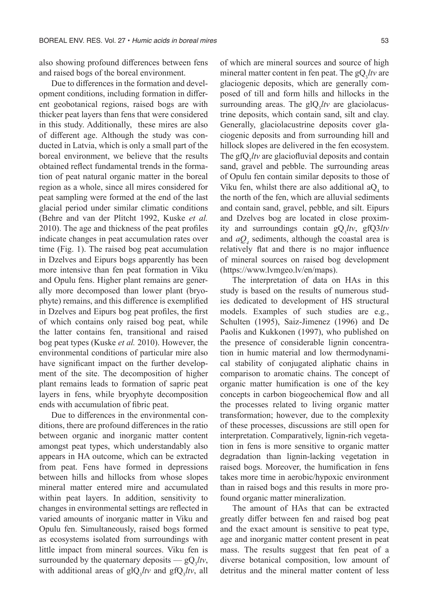also showing profound differences between fens and raised bogs of the boreal environment.

Due to differences in the formation and development conditions, including formation in different geobotanical regions, raised bogs are with thicker peat layers than fens that were considered in this study. Additionally, these mires are also of different age. Although the study was conducted in Latvia, which is only a small part of the boreal environment, we believe that the results obtained reflect fundamental trends in the formation of peat natural organic matter in the boreal region as a whole, since all mires considered for peat sampling were formed at the end of the last glacial period under similar climatic conditions (Behre and van der Plitcht 1992, Kuske *et al.* 2010). The age and thickness of the peat profiles indicate changes in peat accumulation rates over time (Fig. 1). The raised bog peat accumulation in Dzelves and Eipurs bogs apparently has been more intensive than fen peat formation in Viku and Opulu fens. Higher plant remains are generally more decomposed than lower plant (bryophyte) remains, and this difference is exemplified in Dzelves and Eipurs bog peat profiles, the first of which contains only raised bog peat, while the latter contains fen, transitional and raised bog peat types (Kuske *et al.* 2010). However, the environmental conditions of particular mire also have significant impact on the further development of the site. The decomposition of higher plant remains leads to formation of sapric peat layers in fens, while bryophyte decomposition ends with accumulation of fibric peat.

Due to differences in the environmental conditions, there are profound differences in the ratio between organic and inorganic matter content amongst peat types, which understandably also appears in HA outcome, which can be extracted from peat. Fens have formed in depressions between hills and hillocks from whose slopes mineral matter entered mire and accumulated within peat layers. In addition, sensitivity to changes in environmental settings are reflected in varied amounts of inorganic matter in Viku and Opulu fen. Simultaneously, raised bogs formed as ecosystems isolated from surroundings with little impact from mineral sources. Viku fen is surrounded by the quaternary deposits —  $gQ_3$ *ltv*, with additional areas of  $glQ_3 l t v$  and  $glQ_3 l t v$ , all of which are mineral sources and source of high mineral matter content in fen peat. The  $gQ_3$ *ltv* are glaciogenic deposits, which are generally composed of till and form hills and hillocks in the surrounding areas. The  $glQ<sub>3</sub> ltv$  are glaciolacustrine deposits, which contain sand, silt and clay. Generally, glaciolacustrine deposits cover glaciogenic deposits and from surrounding hill and hillock slopes are delivered in the fen ecosystem. The  $gfQ_3$ *ltv* are glaciofluvial deposits and contain sand, gravel and pebble. The surrounding areas of Opulu fen contain similar deposits to those of Viku fen, whilst there are also additional a $Q_4$  to the north of the fen, which are alluvial sediments and contain sand, gravel, pebble, and silt. Eipurs and Dzelves bog are located in close proximity and surroundings contain gQ<sup>3</sup> *ltv*, gfQ3*ltv* and  $aQ<sub>4</sub>$  sediments, although the coastal area is relatively flat and there is no major influence of mineral sources on raised bog development (https://www.lvmgeo.lv/en/maps).

The interpretation of data on HAs in this study is based on the results of numerous studies dedicated to development of HS structural models. Examples of such studies are e.g., Schulten (1995), Saiz-Jimenez (1996) and De Paolis and Kukkonen (1997), who published on the presence of considerable lignin concentration in humic material and low thermodynamical stability of conjugated aliphatic chains in comparison to aromatic chains. The concept of organic matter humification is one of the key concepts in carbon biogeochemical flow and all the processes related to living organic matter transformation; however, due to the complexity of these processes, discussions are still open for interpretation. Comparatively, lignin-rich vegetation in fens is more sensitive to organic matter degradation than lignin-lacking vegetation in raised bogs. Moreover, the humification in fens takes more time in aerobic/hypoxic environment than in raised bogs and this results in more profound organic matter mineralization.

The amount of HAs that can be extracted greatly differ between fen and raised bog peat and the exact amount is sensitive to peat type, age and inorganic matter content present in peat mass. The results suggest that fen peat of a diverse botanical composition, low amount of detritus and the mineral matter content of less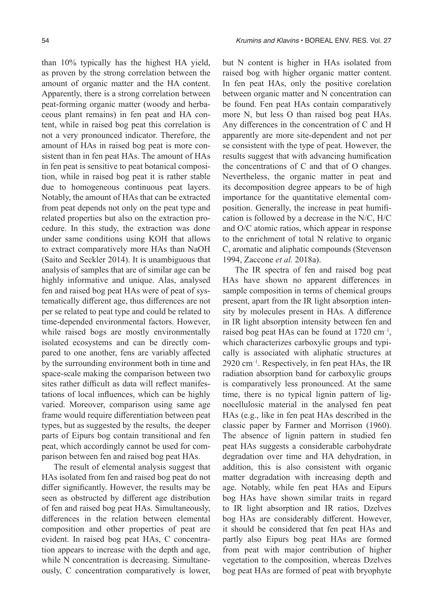than 10% typically has the highest HA yield, as proven by the strong correlation between the amount of organic matter and the HA content. Apparently, there is a strong correlation between peat-forming organic matter (woody and herbaceous plant remains) in fen peat and HA content, while in raised bog peat this correlation is not a very pronounced indicator. Therefore, the amount of HAs in raised bog peat is more consistent than in fen peat HAs. The amount of HAs in fen peat is sensitive to peat botanical composition, while in raised bog peat it is rather stable due to homogeneous continuous peat layers. Notably, the amount of HAs that can be extracted from peat depends not only on the peat type and related properties but also on the extraction procedure. In this study, the extraction was done under same conditions using KOH that allows to extract comparatively more HAs than NaOH (Saito and Seckler 2014). It is unambiguous that analysis of samples that are of similar age can be highly informative and unique. Alas, analysed fen and raised bog peat HAs were of peat of systematically different age, thus differences are not per se related to peat type and could be related to time-depended environmental factors. However, while raised bogs are mostly environmentally isolated ecosystems and can be directly compared to one another, fens are variably affected by the surrounding environment both in time and space-scale making the comparison between two sites rather difficult as data will reflect manifestations of local influences, which can be highly varied. Moreover, comparison using same age frame would require differentiation between peat types, but as suggested by the results, the deeper parts of Eipurs bog contain transitional and fen peat, which accordingly cannot be used for comparison between fen and raised bog peat HAs.

The result of elemental analysis suggest that HAs isolated from fen and raised bog peat do not differ significantly. However, the results may be seen as obstructed by different age distribution of fen and raised bog peat HAs. Simultaneously, differences in the relation between elemental composition and other properties of peat are evident. In raised bog peat HAs, C concentration appears to increase with the depth and age, while N concentration is decreasing. Simultaneously, C concentration comparatively is lower, but N content is higher in HAs isolated from raised bog with higher organic matter content. In fen peat HAs, only the positive corelation between organic matter and N concentration can be found. Fen peat HAs contain comparatively more N, but less O than raised bog peat HAs. Any differences in the concentration of C and H apparently are more site-dependent and not per se consistent with the type of peat. However, the results suggest that with advancing humification the concentrations of C and that of O changes. Nevertheless, the organic matter in peat and its decomposition degree appears to be of high importance for the quantitative elemental composition. Generally, the increase in peat humification is followed by a decrease in the N/C, H/C and O/C atomic ratios, which appear in response to the enrichment of total N relative to organic C, aromatic and aliphatic compounds (Stevenson 1994, Zaccone *et al.* 2018a).

The IR spectra of fen and raised bog peat HAs have shown no apparent differences in sample composition in terms of chemical groups present, apart from the IR light absorption intensity by molecules present in HAs. A difference in IR light absorption intensity between fen and raised bog peat HAs can be found at 1720 cm–1, which characterizes carboxylic groups and typically is associated with aliphatic structures at 2920 cm–1. Respectively, in fen peat HAs, the IR radiation absorption band for carboxylic groups is comparatively less pronounced. At the same time, there is no typical lignin pattern of lignocellulosic material in the analysed fen peat HAs (e.g., like in fen peat HAs described in the classic paper by Farmer and Morrison (1960). The absence of lignin pattern in studied fen peat HAs suggests a considerable carbohydrate degradation over time and HA dehydration, in addition, this is also consistent with organic matter degradation with increasing depth and age. Notably, while fen peat HAs and Eipurs bog HAs have shown similar traits in regard to IR light absorption and IR ratios, Dzelves bog HAs are considerably different. However, it should be considered that fen peat HAs and partly also Eipurs bog peat HAs are formed from peat with major contribution of higher vegetation to the composition, whereas Dzelves bog peat HAs are formed of peat with bryophyte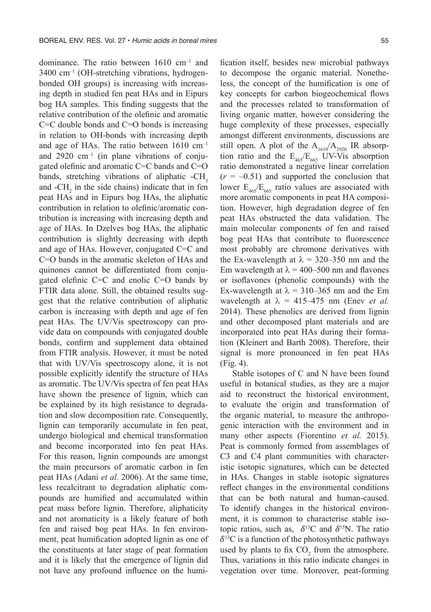dominance. The ratio between 1610 cm–1 and  $3400 \text{ cm}^{-1}$  (OH-stretching vibrations, hydrogenbonded OH groups) is increasing with increasing depth in studied fen peat HAs and in Eipurs bog HA samples. This finding suggests that the relative contribution of the olefinic and aromatic C=C double bonds and C=O bonds is increasing in relation to OH-bonds with increasing depth and age of HAs. The ratio between 1610 cm–1 and  $2920 \text{ cm}^{-1}$  (in plane vibrations of conjugated olefinic and aromatic C=C bands and C=O bands, stretching vibrations of aliphatic -CH<sub>3</sub> and  $-CH<sub>2</sub>$  in the side chains) indicate that in fen peat HAs and in Eipurs bog HAs, the aliphatic contribution in relation to olefinic/aromatic contribution is increasing with increasing depth and age of HAs. In Dzelves bog HAs, the aliphatic contribution is slightly decreasing with depth and age of HAs. However, conjugated C=C and C=O bands in the aromatic skeleton of HAs and quinones cannot be differentiated from conjugated olefinic C=C and enolic C=O bands by FTIR data alone. Still, the obtained results suggest that the relative contribution of aliphatic carbon is increasing with depth and age of fen peat HAs. The UV/Vis spectroscopy can provide data on compounds with conjugated double bonds, confirm and supplement data obtained from FTIR analysis. However, it must be noted that with UV/Vis spectroscopy alone, it is not possible explicitly identify the structure of HAs as aromatic. The UV/Vis spectra of fen peat HAs have shown the presence of lignin, which can be explained by its high resistance to degradation and slow decomposition rate. Consequently, lignin can temporarily accumulate in fen peat, undergo biological and chemical transformation and become incorporated into fen peat HAs. For this reason, lignin compounds are amongst the main precursors of aromatic carbon in fen peat HAs (Adani *et al.* 2006). At the same time, less recalcitrant to degradation aliphatic compounds are humified and accumulated within peat mass before lignin. Therefore, aliphaticity and not aromaticity is a likely feature of both fen and raised bog peat HAs. In fen environment, peat humification adopted lignin as one of the constituents at later stage of peat formation and it is likely that the emergence of lignin did not have any profound influence on the humification itself, besides new microbial pathways to decompose the organic material. Nonetheless, the concept of the humification is one of key concepts for carbon biogeochemical flows and the processes related to transformation of living organic matter, however considering the huge complexity of these processes, especially amongst different environments, discussions are still open. A plot of the  $A_{1610}/A_{2920}$  IR absorption ratio and the  $E_{465}/E_{665}$  UV-Vis absorption ratio demonstrated a negative linear correlation  $(r = -0.51)$  and supported the conclusion that lower  $E_{465}/E_{665}$  ratio values are associated with more aromatic components in peat HA composition. However, high degradation degree of fen peat HAs obstructed the data validation. The main molecular components of fen and raised bog peat HAs that contribute to fluorescence most probably are chromone derivatives with the Ex-wavelength at  $\lambda = 320-350$  nm and the Em wavelength at  $\lambda = 400-500$  nm and flavones or isoflavones (phenolic compounds) with the Ex-wavelength at  $\lambda = 310-365$  nm and the Em wavelength at  $\lambda = 415-475$  nm (Enev *et al.*) 2014). These phenolics are derived from lignin and other decomposed plant materials and are incorporated into peat HAs during their formation (Kleinert and Barth 2008). Therefore, their signal is more pronounced in fen peat HAs (Fig. 4).

Stable isotopes of C and N have been found useful in botanical studies, as they are a major aid to reconstruct the historical environment, to evaluate the origin and transformation of the organic material, to measure the anthropogenic interaction with the environment and in many other aspects (Fiorentino *et al.* 2015). Peat is commonly formed from assemblages of C3 and C4 plant communities with characteristic isotopic signatures, which can be detected in HAs. Changes in stable isotopic signatures reflect changes in the environmental conditions that can be both natural and human-caused. To identify changes in the historical environment, it is common to characterise stable isotopic ratios, such as,  $\delta^{13}$ C and  $\delta^{15}$ N. The ratio  $\delta^{13}$ C is a function of the photosynthetic pathways used by plants to fix  $CO_2$  from the atmosphere. Thus, variations in this ratio indicate changes in vegetation over time. Moreover, peat-forming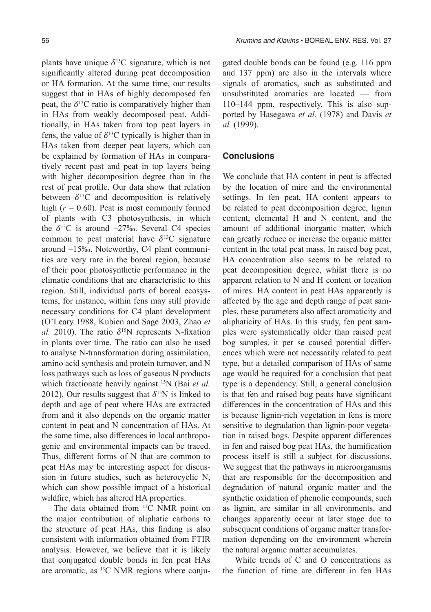plants have unique  $\delta^{13}$ C signature, which is not significantly altered during peat decomposition or HA formation. At the same time, our results suggest that in HAs of highly decomposed fen peat, the  $\delta^{13}$ C ratio is comparatively higher than in HAs from weakly decomposed peat. Additionally, in HAs taken from top peat layers in fens, the value of  $\delta^{13}$ C typically is higher than in HAs taken from deeper peat layers, which can be explained by formation of HAs in comparatively recent past and peat in top layers being with higher decomposition degree than in the rest of peat profile. Our data show that relation between  $\delta^{13}$ C and decomposition is relatively high  $(r = 0.60)$ . Peat is most commonly formed of plants with C3 photosynthesis, in which the  $\delta^{13}$ C is around –27‰. Several C4 species common to peat material have  $\delta^{13}$ C signature around –15‰. Noteworthy, C4 plant communities are very rare in the boreal region, because of their poor photosynthetic performance in the climatic conditions that are characteristic to this region. Still, individual parts of boreal ecosystems, for instance, within fens may still provide necessary conditions for C4 plant development (O'Leary 1988, Kubien and Sage 2003, Zhao *et al.* 2010). The ratio  $\delta^{15}N$  represents N-fixation in plants over time. The ratio can also be used to analyse N-transformation during assimilation, amino acid synthesis and protein turnover, and N loss pathways such as loss of gaseous N products which fractionate heavily against <sup>15</sup>N (Bai *et al.*) 2012). Our results suggest that  $\delta^{15}N$  is linked to depth and age of peat where HAs are extracted from and it also depends on the organic matter content in peat and N concentration of HAs. At the same time, also differences in local anthropogenic and environmental impacts can be traced. Thus, different forms of N that are common to peat HAs may be interesting aspect for discussion in future studies, such as heterocyclic N, which can show possible impact of a historical wildfire, which has altered HA properties.

The data obtained from <sup>13</sup>C NMR point on the major contribution of aliphatic carbons to the structure of peat HAs, this finding is also consistent with information obtained from FTIR analysis. However, we believe that it is likely that conjugated double bonds in fen peat HAs are aromatic, as 13C NMR regions where conjugated double bonds can be found (e.g. 116 ppm and 137 ppm) are also in the intervals where signals of aromatics, such as substituted and unsubstituted aromatics are located — from 110–144 ppm, respectively. This is also supported by Hasegawa *et al.* (1978) and Davis *et al.* (1999).

#### **Conclusions**

We conclude that HA content in peat is affected by the location of mire and the environmental settings. In fen peat, HA content appears to be related to peat decomposition degree, lignin content, elemental H and N content, and the amount of additional inorganic matter, which can greatly reduce or increase the organic matter content in the total peat mass. In raised bog peat, HA concentration also seems to be related to peat decomposition degree, whilst there is no apparent relation to N and H content or location of mires. HA content in peat HAs apparently is affected by the age and depth range of peat samples, these parameters also affect aromaticity and aliphaticity of HAs. In this study, fen peat samples were systematically older than raised peat bog samples, it per se caused potential differences which were not necessarily related to peat type, but a detailed comparison of HAs of same age would be required for a conclusion that peat type is a dependency. Still, a general conclusion is that fen and raised bog peats have significant differences in the concentration of HAs and this is because lignin-rich vegetation in fens is more sensitive to degradation than lignin-poor vegetation in raised bogs. Despite apparent differences in fen and raised bog peat HAs, the humification process itself is still a subject for discussions. We suggest that the pathways in microorganisms that are responsible for the decomposition and degradation of natural organic matter and the synthetic oxidation of phenolic compounds, such as lignin, are similar in all environments, and changes apparently occur at later stage due to subsequent conditions of organic matter transformation depending on the environment wherein the natural organic matter accumulates.

While trends of C and O concentrations as the function of time are different in fen HAs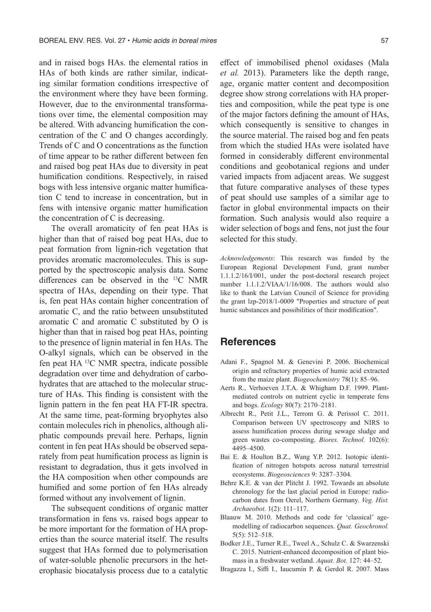and in raised bogs HAs. the elemental ratios in HAs of both kinds are rather similar, indicating similar formation conditions irrespective of the environment where they have been forming. However, due to the environmental transformations over time, the elemental composition may be altered. With advancing humification the concentration of the C and O changes accordingly. Trends of C and O concentrations as the function of time appear to be rather different between fen and raised bog peat HAs due to diversity in peat humification conditions. Respectively, in raised bogs with less intensive organic matter humification C tend to increase in concentration, but in fens with intensive organic matter humification the concentration of C is decreasing.

The overall aromaticity of fen peat HAs is higher than that of raised bog peat HAs, due to peat formation from lignin-rich vegetation that provides aromatic macromolecules. This is supported by the spectroscopic analysis data. Some differences can be observed in the 13C NMR spectra of HAs, depending on their type. That is, fen peat HAs contain higher concentration of aromatic C, and the ratio between unsubstituted aromatic C and aromatic C substituted by O is higher than that in raised bog peat HAs, pointing to the presence of lignin material in fen HAs. The O-alkyl signals, which can be observed in the fen peat HA 13C NMR spectra, indicate possible degradation over time and dehydration of carbohydrates that are attached to the molecular structure of HAs. This finding is consistent with the lignin pattern in the fen peat HA FT-IR spectra. At the same time, peat-forming bryophytes also contain molecules rich in phenolics, although aliphatic compounds prevail here. Perhaps, lignin content in fen peat HAs should be observed separately from peat humification process as lignin is resistant to degradation, thus it gets involved in the HA composition when other compounds are humified and some portion of fen HAs already formed without any involvement of lignin.

The subsequent conditions of organic matter transformation in fens vs. raised bogs appear to be more important for the formation of HA properties than the source material itself. The results suggest that HAs formed due to polymerisation of water-soluble phenolic precursors in the heterophasic biocatalysis process due to a catalytic effect of immobilised phenol oxidases (Mala *et al.* 2013). Parameters like the depth range, age, organic matter content and decomposition degree show strong correlations with HA properties and composition, while the peat type is one of the major factors defining the amount of HAs, which consequently is sensitive to changes in the source material. The raised bog and fen peats from which the studied HAs were isolated have formed in considerably different environmental conditions and geobotanical regions and under varied impacts from adjacent areas. We suggest that future comparative analyses of these types of peat should use samples of a similar age to factor in global environmental impacts on their formation. Such analysis would also require a wider selection of bogs and fens, not just the four selected for this study.

*Acknowledgements*: This research was funded by the European Regional Development Fund, grant number 1.1.1.2/16/I/001, under the post-doctoral research project number 1.1.1.2/VIAA/1/16/008. The authors would also like to thank the Latvian Council of Science for providing the grant lzp-2018/1-0009 "Properties and structure of peat humic substances and possibilities of their modification".

#### **References**

- Adani F., Spagnol M. & Genevini P. 2006. Biochemical origin and refractory properties of humic acid extracted from the maize plant. *Biogeochemistry* 78(1): 85–96.
- Aerts R., Verhoeven J.T.A. & Whigham D.F. 1999. Plantmediated controls on nutrient cyclic in temperate fens and bogs. *Ecology* 80(7): 2170–2181.
- Albrecht R., Petit J.L., Terrom G. & Perissol C. 2011. Comparison between UV spectroscopy and NIRS to assess humification process during sewage sludge and green wastes co-composting. *Biores. Technol.* 102(6): 4495–4500.
- Bai E. & Houlton B.Z., Wang Y.P. 2012. Isotopic identification of nitrogen hotspots across natural terrestrial ecosystems. *Biogeosciences* 9: 3287–3304.
- Behre K.E. & van der Plitcht J. 1992. Towards an absolute chronology for the last glacial period in Europe: radiocarbon dates from Oerel, Northern Germany. *Veg. Hist. Archaeobot.* 1(2): 111–117.
- Blaauw M. 2010. Methods and code for 'classical' agemodelling of radiocarbon sequences. *Quat. Geochronol.*  5(5): 512–518.
- Bodker J.E., Turner R.E., Tweel A., Schulz C. & Swarzenski C. 2015. Nutrient-enhanced decomposition of plant biomass in a freshwater wetland. *Aquat. Bot.* 127: 44–52.
- Bragazza I., Siffi I., Iaucumin P. & Gerdol R. 2007. Mass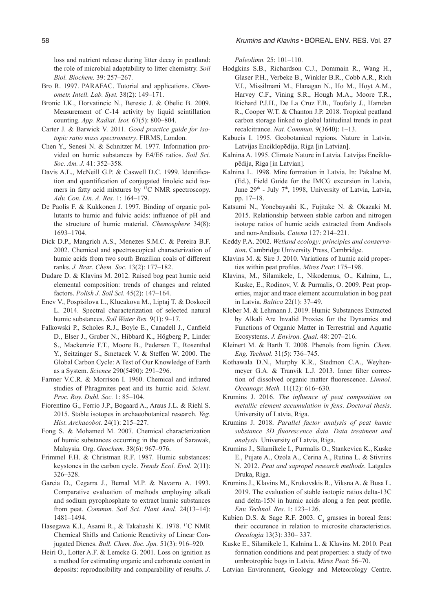loss and nutrient release during litter decay in peatland: the role of microbial adaptability to litter chemistry. *Soil Biol. Biochem.* 39: 257–267.

- Bro R. 1997. PARAFAC. Tutorial and applications. *Chemometr. Intell. Lab. Syst.* 38(2): 149–171.
- Bronic I.K., Horvatincic N., Beresic J. & Obelic B. 2009. Measurement of C-14 activity by liquid scintillation counting. *App. Radiat. Isot.* 67(5): 800–804.
- Carter J. & Barwick V. 2011. *Good practice guide for isotopic ratio mass spectrometry*. FIRMS, London.
- Chen Y., Senesi N. & Schnitzer M. 1977. Information provided on humic substances by E4/E6 ratios. *Soil Sci. Soc. Am. J.* 41: 352–358.
- Davis A.L., McNeill G.P. & Caswell D.C. 1999. Identification and quantification of conjugated linoleic acid isomers in fatty acid mixtures by 13C NMR spectroscopy. *Adv. Con. Lin. A. Res.* 1: 164–179.
- De Paolis F. & Kukkonen J. 1997. Binding of organic pollutants to humic and fulvic acids: influence of pH and the structure of humic material. *Chemosphere* 34(8): 1693–1704.
- Dick D.P., Mangrich A.S., Menezes S.M.C. & Pereira B.F. 2002. Chemical and spectroscopical characterization of humic acids from two south Brazilian coals of different ranks. *J. Braz. Chem. Soc.* 13(2): 177–182.
- Dudare D. & Klavins M. 2012. Raised bog peat humic acid elemental composition: trends of changes and related factors. *Polish J. Soil Sci.* 45(2): 147–164.
- Enev V., Pospisilova L., Klucakova M., Liptaj T. & Doskocil L. 2014. Spectral characterization of selected natural humic substances. *Soil Water Res.* 9(1): 9–17.
- Falkowski P., Scholes R.J., Boyle E., Canadell J., Canfield D., Elser J., Gruber N., Hibbard K., Högberg P., Linder S., Mackenzie F.T., Moore B., Pedersen T., Rosenthal Y., Seitzinger S., Smetacek V. & Steffen W. 2000. The Global Carbon Cycle: A Test of Our Knowledge of Earth as a System. *Science* 290(5490): 291–296.
- Farmer V.C.R. & Morrison I. 1960. Chemical and infrared studies of Phragmites peat and its humic acid. *Scient. Proc. Roy. Dubl. Soc.* 1: 85–104.
- Fiorentino G., Ferrio J.P., Bogaard A., Araus J.L. & Riehl S. 2015. Stable isotopes in archaeobotanical research. *Veg. Hist. Archaeobot.* 24(1): 215–227.
- Fong S. & Mohamed M. 2007. Chemical characterization of humic substances occurring in the peats of Sarawak, Malaysia. Org. *Geochem.* 38(6): 967–976.
- Frimmel F.H. & Christman R.F. 1987. Humic substances: keystones in the carbon cycle. *Trends Ecol. Evol.* 2(11): 326–328.
- Garcia D., Cegarra J., Bernal M.P. & Navarro A. 1993. Comparative evaluation of methods employing alkali and sodium pyrophosphate to extract humic substances from peat. *Commun. Soil Sci. Plant Anal.* 24(13–14): 1481–1494.
- Hasegawa K.I., Asami R., & Takahashi K. 1978. 13C NMR Chemical Shifts and Cationic Reactivity of Linear Conjugated Dienes. *Bull. Chem. Soc. Jpn.* 51(3): 916–920.
- Heiri O., Lotter A.F. & Lemcke G. 2001. Loss on ignition as a method for estimating organic and carbonate content in deposits: reproducibility and comparability of results. *J.*

*Paleolimn.* 25: 101–110.

- Hodgkins S.B., Richardson C.J., Dommain R., Wang H., Glaser P.H., Verbeke B., Winkler B.R., Cobb A.R., Rich V.I., Missilmani M., Flanagan N., Ho M., Hoyt A.M., Harvey C.F., Vining S.R., Hough M.A., Moore T.R., Richard P.J.H., De La Cruz F.B., Toufaily J., Hamdan R., Cooper W.T. & Chanton J.P. 2018. Tropical peatland carbon storage linked to global latitudinal trends in peat recalcitrance. *Nat. Commun.* 9(3640): 1–13.
- Kabucis I. 1995. Geobotanical regions. Nature in Latvia. Latvijas Enciklopēdija, Riga [in Latvian].
- Kalnina A. 1995. Climate Nature in Latvia. Latvijas Enciklopēdija, Riga [in Latvian].
- Kalnina L. 1998. Mire formation in Latvia. In: Pakalne M. (Ed.), Field Guide for the IMCG excursion in Latvia, June 29<sup>th</sup> - July 7<sup>th</sup>, 1998, University of Latvia, Latvia, pp. 17–18.
- Katsumi N., Yonebayashi K., Fujitake N. & Okazaki M. 2015. Relationship between stable carbon and nitrogen isotope ratios of humic acids extracted from Andisols and non-Andisols. *Catena* 127: 214–221.
- Keddy P.A. 2002. *Wetland ecology: principles and conservation*. Cambridge University Press, Cambridge.
- Klavins M. & Sire J. 2010. Variations of humic acid properties within peat profiles. *Mires Peat*: 175–198.
- Klavins, M., Silamikele, I., Nikodemus, O., Kalnina, L., Kuske, E., Rodinov, V. & Purmalis, O. 2009. Peat properties, major and trace element accumulation in bog peat in Latvia. *Baltica* 22(1): 37–49.
- Kleber M. & Lehmann J. 2019. Humic Substances Extracted by Alkali Are Invalid Proxies for the Dynamics and Functions of Organic Matter in Terrestrial and Aquatic Ecosystems. *J. Environ. Qual.* 48: 207–216.
- Kleinert M. & Barth T. 2008. Phenols from lignin. *Chem. Eng. Technol.* 31(5): 736–745.
- Kothawala D.N., Murphy K.R., Stedmon C.A., Weyhenmeyer G.A. & Tranvik L.J. 2013. Inner filter correction of dissolved organic matter fluorescence. *Limnol. Oceanogr. Meth.* 11(12): 616–630.
- Krumins J. 2016. *The influence of peat composition on metallic element accumulation in fens*. *Doctoral thesis*. University of Latvia, Riga.
- Krumins J. 2018. *Parallel factor analysis of peat humic substance 3D fluorescence data. Data treatment and analysis.* University of Latvia, Riga.
- Krumins J., Silamikele I., Purmalis O., Stankevica K., Kuske E., Pujate A., Ozola A., Cerina A., Rutina L. & Stivrins N. 2012. *Peat and sapropel research methods*. Latgales Druka, Riga.
- Krumins J., Klavins M., Krukovskis R., Viksna A. & Busa L. 2019. The evaluation of stable isotopic ratios delta-13C and delta-15N in humic acids along a fen peat profile. *Env. Technol. Res.* 1: 123–126.
- Kubien D.S. & Sage R.F. 2003.  $C_4$  grasses in boreal fens: their occurence in relation to microsite characteristics. *Oecologia* 13(3): 330– 337.
- Kuske E., Silamikele I., Kalnina L. & Klavins M. 2010. Peat formation conditions and peat properties: a study of two ombrotrophic bogs in Latvia. *Mires Peat*: 56–70.
- Latvian Environment, Geology and Meteorology Centre.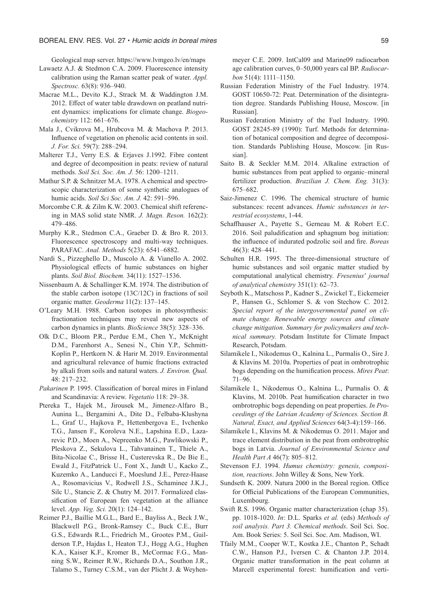Geological map server. https://www.lvmgeo.lv/en/maps

- Lawaetz A.J. & Stedmon C.A. 2009. Fluorescence intensity calibration using the Raman scatter peak of water. *Appl. Spectrosc.* 63(8): 936–940.
- Macrae M.L., Devito K.J., Strack M. & Waddington J.M. 2012. Effect of water table drawdown on peatland nutrient dynamics: implications for climate change. *Biogeochemistry* 112: 661–676.
- Mala J., Cvikrova M., Hrubcova M. & Machova P. 2013. Influence of vegetation on phenolic acid contents in soil. *J. For. Sci.* 59(7): 288–294.
- Malterer T.J., Verry E.S. & Erjaves J.1992. Fibre content and degree of decomposition in peats: review of natural methods. *Soil Sci. Soc. Am. J.* 56: 1200–1211.
- Mathur S.P. & Schnitzer M.A. 1978. A chemical and spectroscopic characterization of some synthetic analogues of humic acids. *Soil Sci Soc. Am. J.* 42: 591–596.
- Morcombe C.R. & Zilm K.W. 2003. Chemical shift referencing in MAS solid state NMR. *J. Magn. Reson.* 162(2): 479–486.
- Murphy K.R., Stedmon C.A., Graeber D. & Bro R. 2013. Fluorescence spectroscopy and multi-way techniques. PARAFAC. *Anal. Methods* 5(23): 6541–6882.
- Nardi S., Pizzeghello D., Muscolo A. & Vianello A. 2002. Physiological effects of humic substances on higher plants. *Soil Biol. Biochem.* 34(11): 1527–1536.
- Nissenbaum A. & Schallinger K.M. 1974. The distribution of the stable carbon isotope (13C/12C) in fractions of soil organic matter. *Geoderma* 11(2): 137–145.
- O'Leary M.H. 1988. Carbon isotopes in photosynthesis: fractionation techniques may reveal new aspects of carbon dynamics in plants. *BioScience* 38(5): 328–336.
- Olk D.C., Bloom P.R., Perdue E.M., Chen Y., McKnight D.M., Farenhorst A., Senesi N., Chin Y.P., Schmitt-Koplin P., Hertkorn N. & Harir M. 2019. Environmental and agricultural relevance of humic fractions extracted by alkali from soils and natural waters. *J. Environ. Qual.* 48: 217–232.
- *Pakarinen* P. 1995. Classification of boreal mires in Finland and Scandinavia: A review. *Vegetatio* 118: 29–38.
- Ptereka T., Hajek M., Jirousek M., Jimenez-Alfaro B., Aunina L., Bergamini A., Dite D., Felbaba-Klushyna L., Graf U., Hajkova P., Hettenbergova E., Ivchenko T.G., Jansen F., Koroleva N.E., Lapshina E.D., Lazarevic P.D., Moen A., Nepreenko M.G., Pawlikowski P., Pleskova Z., Sekulova L., Tahvanainen T., Thiele A., Bita-Nicolae C., Brisse H., Custerevska R., De Bie E., Ewald J., FitzPatrick U., Font X., Jandt U., Kacko Z., Kuzemko A., Landucci F., Moeslund J.E., Perez-Haase A., Rosomavicius V., Rodwell J.S., Schaminee J.K.J., Silc U., Stancic Z. & Chutry M. 2017. Formalized classification of European fen vegetation at the alliance level. *App. Veg. Sci.* 20(1): 124–142.
- Reimer P.J., Baillie M.G.L., Bard E., Bayliss A., Beck J.W., Blackwell P.G., Bronk-Ramsey C., Buck C.E., Burr G.S., Edwards R.L., Friedrich M., Grootes P.M., Guilderson T.P., Hajdas I., Heaton T.J., Hogg A.G., Hughen K.A., Kaiser K.F., Kromer B., McCormac F.G., Manning S.W., Reimer R.W., Richards D.A., Southon J.R., Talamo S., Turney C.S.M., van der Plicht J. & Weyhen-

meyer C.E. 2009. IntCal09 and Marine09 radiocarbon age calibration curves, 0–50,000 years cal BP. *Radiocarbon* 51(4): 1111–1150.

- Russian Federation Ministry of the Fuel Industry. 1974. GOST 10650-72: Peat. Determination of the disintegration degree. Standards Publishing House, Moscow. [in Russian].
- Russian Federation Ministry of the Fuel Industry. 1990. GOST 28245-89 (1990): Turf. Methods for determination of botanical composition and degree of decomposition. Standards Publishing House, Moscow. [in Russian].
- Saito B. & Seckler M.M. 2014. Alkaline extraction of humic substances from peat applied to organic–mineral fertilizer production. *Brazilian J. Chem. Eng.* 31(3): 675–682.
- Saiz-Jimenez C. 1996. The chemical structure of humic substances: recent advances. *Humic substances in terrestrial ecosystems*, 1-44.
- Schaffhauser A., Payette S., Gerneau M. & Robert E.C. 2016. Soil paludification and sphagnum bog initiation: the influence of indurated podzolic soil and fire. *Boreas*  46(3): 428–441.
- Schulten H.R. 1995. The three-dimensional structure of humic substances and soil organic matter studied by computational analytical chemistry. *Fresenius' journal of analytical chemistry* 351(1): 62–73.
- Seyboth K., Matschoss P., Kadner S., Zwickel T., Eickemeier P., Hansen G., Schlomer S. & von Stechow C. 2012. *Special report of the intergovernmental panel on climate change. Renewable energy sources and climate change mitigation. Summary for policymakers and technical summary.* Potsdam Institute for Climate Impact Research, Potsdam.
- Silamikele I., Nikodemus O., Kalnina L., Purmalis O., Sire J. & Klavins M. 2010a. Properties of peat in ombrotrophic bogs depending on the humification process. *Mires Peat*: 71–96.
- Silamikele I., Nikodemus O., Kalnina L., Purmalis O. & Klavins, M. 2010b. Peat humification character in two ombrotrophic bogs depending on peat properties. *In Proceedings of the Latvian Academy of Sciences. Section B. Natural, Exact, and Applied Sciences* 64(3-4):159–166.
- Silamikele I., Klavins M. & Nikodemus O. 2011. Major and trace element distribution in the peat from ombrotrophic bogs in Latvia. *Journal of Environmental Science and Health Part A* 46(7): 805–812.
- Stevenson F.J. 1994. *Humus chemistry: genesis, composition, reactions*. John Willey & Sons, New York.
- Sundseth K. 2009. Natura 2000 in the Boreal region. Office for Official Publications of the European Communities, Luxembourg.
- Swift R.S. 1996. Organic matter characterization (chap 35). pp. 1018-1020. *In*: D.L. Sparks *et al.* (eds) *Methods of soil analysis. Part 3. Chemical methods*. Soil Sci. Soc. Am. Book Series: 5. Soil Sci. Soc. Am. Madison, WI.
- Tfaily M.M., Cooper W.T., Kostka J.E., Chanton P., Schadt C.W., Hanson P.J., Iversen C. & Chanton J.P. 2014. Organic matter transformation in the peat column at Marcell experimental forest: humification and verti-